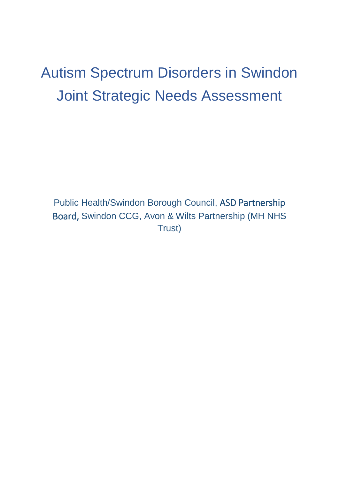# Autism Spectrum Disorders in Swindon Joint Strategic Needs Assessment

Public Health/Swindon Borough Council, ASD Partnership Board, Swindon CCG, Avon & Wilts Partnership (MH NHS Trust)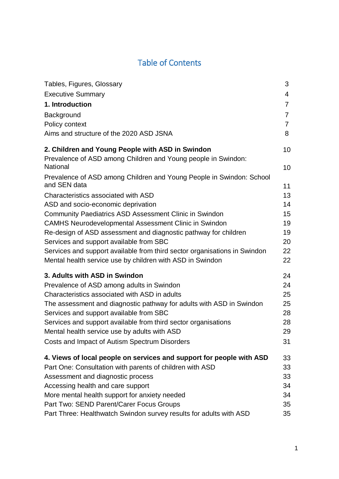# Table of Contents

| Tables, Figures, Glossary                                                        | 3              |
|----------------------------------------------------------------------------------|----------------|
| <b>Executive Summary</b>                                                         | 4              |
| 1. Introduction                                                                  | $\overline{7}$ |
| Background                                                                       | $\overline{7}$ |
| Policy context                                                                   | $\overline{7}$ |
| Aims and structure of the 2020 ASD JSNA                                          | 8              |
| 2. Children and Young People with ASD in Swindon                                 | 10             |
| Prevalence of ASD among Children and Young people in Swindon:<br><b>National</b> | 10             |
| Prevalence of ASD among Children and Young People in Swindon: School             |                |
| and SEN data                                                                     | 11             |
| Characteristics associated with ASD                                              | 13             |
| ASD and socio-economic deprivation                                               | 14             |
| <b>Community Paediatrics ASD Assessment Clinic in Swindon</b>                    | 15             |
| <b>CAMHS Neurodevelopmental Assessment Clinic in Swindon</b>                     | 19             |
| Re-design of ASD assessment and diagnostic pathway for children                  | 19             |
| Services and support available from SBC                                          | 20             |
| Services and support available from third sector organisations in Swindon        | 22             |
| Mental health service use by children with ASD in Swindon                        | 22             |
| 3. Adults with ASD in Swindon                                                    | 24             |
| Prevalence of ASD among adults in Swindon                                        | 24             |
| Characteristics associated with ASD in adults                                    | 25             |
| The assessment and diagnostic pathway for adults with ASD in Swindon             | 25             |
| Services and support available from SBC                                          | 28             |
| Services and support available from third sector organisations                   | 28             |
| Mental health service use by adults with ASD                                     | 29             |
| Costs and Impact of Autism Spectrum Disorders                                    | 31             |
| 4. Views of local people on services and support for people with ASD             | 33             |
| Part One: Consultation with parents of children with ASD                         | 33             |
| Assessment and diagnostic process                                                | 33             |
| Accessing health and care support                                                | 34             |
| More mental health support for anxiety needed                                    | 34             |
| Part Two: SEND Parent/Carer Focus Groups                                         | 35             |
| Part Three: Healthwatch Swindon survey results for adults with ASD               | 35             |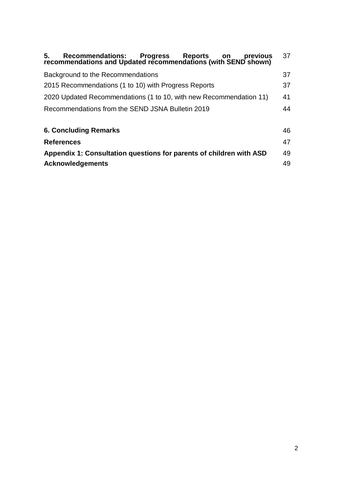| 5. Recommendations: Progress Reports on previous<br>recommendations and Updated recommendations (with SEND shown)<br>previous | 37 |  |  |  |
|-------------------------------------------------------------------------------------------------------------------------------|----|--|--|--|
| Background to the Recommendations<br>37                                                                                       |    |  |  |  |
| 2015 Recommendations (1 to 10) with Progress Reports                                                                          |    |  |  |  |
| 2020 Updated Recommendations (1 to 10, with new Recommendation 11)                                                            |    |  |  |  |
| Recommendations from the SEND JSNA Bulletin 2019                                                                              |    |  |  |  |
| <b>6. Concluding Remarks</b>                                                                                                  | 46 |  |  |  |
| <b>References</b>                                                                                                             |    |  |  |  |
| Appendix 1: Consultation questions for parents of children with ASD                                                           |    |  |  |  |
| <b>Acknowledgements</b>                                                                                                       |    |  |  |  |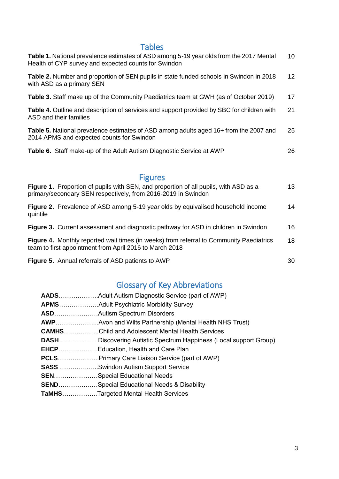# Tables

| Table 1. National prevalence estimates of ASD among 5-19 year olds from the 2017 Mental<br>Health of CYP survey and expected counts for Swindon | 10 |
|-------------------------------------------------------------------------------------------------------------------------------------------------|----|
| <b>Table 2.</b> Number and proportion of SEN pupils in state funded schools in Swindon in 2018<br>with ASD as a primary SEN                     | 12 |
| <b>Table 3.</b> Staff make up of the Community Paediatrics team at GWH (as of October 2019)                                                     | 17 |
| Table 4. Outline and description of services and support provided by SBC for children with<br>ASD and their families                            | 21 |
| <b>Table 5.</b> National prevalence estimates of ASD among adults aged 16+ from the 2007 and<br>2014 APMS and expected counts for Swindon       | 25 |
| Table 6. Staff make-up of the Adult Autism Diagnostic Service at AWP                                                                            | 26 |

# Figures

| <b>Figure 1.</b> Proportion of pupils with SEN, and proportion of all pupils, with ASD as a<br>primary/secondary SEN respectively, from 2016-2019 in Swindon | 13 |
|--------------------------------------------------------------------------------------------------------------------------------------------------------------|----|
| <b>Figure 2.</b> Prevalence of ASD among 5-19 year olds by equivalised household income<br>quintile                                                          | 14 |
| Figure 3. Current assessment and diagnostic pathway for ASD in children in Swindon                                                                           | 16 |
| Figure 4. Monthly reported wait times (in weeks) from referral to Community Paediatrics<br>team to first appointment from April 2016 to March 2018           | 18 |
| Figure 5. Annual referrals of ASD patients to AWP                                                                                                            | 30 |

# Glossary of Key Abbreviations

| <b>CAMHSChild and Adolescent Mental Health Services</b>                  |
|--------------------------------------------------------------------------|
| <b>DASHDiscovering Autistic Spectrum Happiness (Local support Group)</b> |
|                                                                          |
| <b>PCLSPrimary Care Liaison Service (part of AWP)</b>                    |
| <b>SASS</b> Swindon Autism Support Service                               |
| SENSpecial Educational Needs                                             |
| SENDSpecial Educational Needs & Disability                               |
| <b>TaMHSTargeted Mental Health Services</b>                              |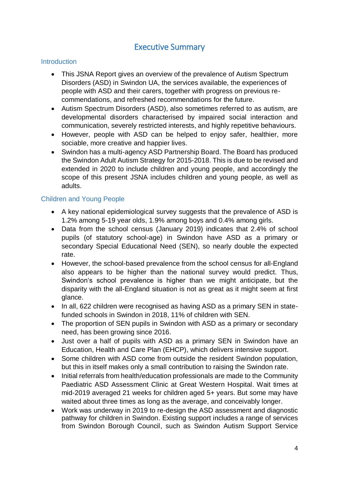## Executive Summary

#### **Introduction**

- This JSNA Report gives an overview of the prevalence of Autism Spectrum Disorders (ASD) in Swindon UA, the services available, the experiences of people with ASD and their carers, together with progress on previous recommendations, and refreshed recommendations for the future.
- Autism Spectrum Disorders (ASD), also sometimes referred to as autism, are developmental disorders characterised by impaired social interaction and communication, severely restricted interests, and highly repetitive behaviours.
- However, people with ASD can be helped to enjoy safer, healthier, more sociable, more creative and happier lives.
- Swindon has a multi-agency ASD Partnership Board. The Board has produced the Swindon Adult Autism Strategy for 2015-2018. This is due to be revised and extended in 2020 to include children and young people, and accordingly the scope of this present JSNA includes children and young people, as well as adults.

#### Children and Young People

- A key national epidemiological survey suggests that the prevalence of ASD is 1.2% among 5-19 year olds, 1.9% among boys and 0.4% among girls.
- Data from the school census (January 2019) indicates that 2.4% of school pupils (of statutory school-age) in Swindon have ASD as a primary or secondary Special Educational Need (SEN), so nearly double the expected rate.
- However, the school-based prevalence from the school census for all-England also appears to be higher than the national survey would predict. Thus, Swindon's school prevalence is higher than we might anticipate, but the disparity with the all-England situation is not as great as it might seem at first glance.
- In all, 622 children were recognised as having ASD as a primary SEN in statefunded schools in Swindon in 2018, 11% of children with SEN.
- The proportion of SEN pupils in Swindon with ASD as a primary or secondary need, has been growing since 2016.
- Just over a half of pupils with ASD as a primary SEN in Swindon have an Education, Health and Care Plan (EHCP), which delivers intensive support.
- Some children with ASD come from outside the resident Swindon population, but this in itself makes only a small contribution to raising the Swindon rate.
- Initial referrals from health/education professionals are made to the Community Paediatric ASD Assessment Clinic at Great Western Hospital. Wait times at mid-2019 averaged 21 weeks for children aged 5+ years. But some may have waited about three times as long as the average, and conceivably longer.
- Work was underway in 2019 to re-design the ASD assessment and diagnostic pathway for children in Swindon. Existing support includes a range of services from Swindon Borough Council, such as Swindon Autism Support Service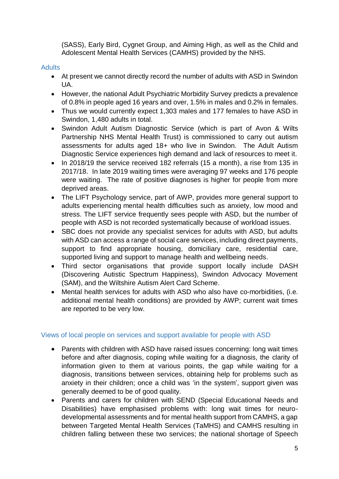(SASS), Early Bird, Cygnet Group, and Aiming High, as well as the Child and Adolescent Mental Health Services (CAMHS) provided by the NHS.

#### **Adults**

- At present we cannot directly record the number of adults with ASD in Swindon UA.
- However, the national Adult Psychiatric Morbidity Survey predicts a prevalence of 0.8% in people aged 16 years and over, 1.5% in males and 0.2% in females.
- Thus we would currently expect 1,303 males and 177 females to have ASD in Swindon, 1,480 adults in total.
- Swindon Adult Autism Diagnostic Service (which is part of Avon & Wilts Partnership NHS Mental Health Trust) is commissioned to carry out autism assessments for adults aged 18+ who live in Swindon. The Adult Autism Diagnostic Service experiences high demand and lack of resources to meet it.
- In 2018/19 the service received 182 referrals (15 a month), a rise from 135 in 2017/18. In late 2019 waiting times were averaging 97 weeks and 176 people were waiting. The rate of positive diagnoses is higher for people from more deprived areas.
- The LIFT Psychology service, part of AWP, provides more general support to adults experiencing mental health difficulties such as anxiety, low mood and stress. The LIFT service frequently sees people with ASD, but the number of people with ASD is not recorded systematically because of workload issues.
- SBC does not provide any specialist services for adults with ASD, but adults with ASD can access a range of social care services, including direct payments, support to find appropriate housing, domiciliary care, residential care, supported living and support to manage health and wellbeing needs.
- Third sector organisations that provide support locally include DASH (Discovering Autistic Spectrum Happiness), Swindon Advocacy Movement (SAM), and the Wiltshire Autism Alert Card Scheme.
- Mental health services for adults with ASD who also have co-morbidities, (i.e. additional mental health conditions) are provided by AWP; current wait times are reported to be very low.

#### Views of local people on services and support available for people with ASD

- Parents with children with ASD have raised issues concerning: long wait times before and after diagnosis, coping while waiting for a diagnosis, the clarity of information given to them at various points, the gap while waiting for a diagnosis, transitions between services, obtaining help for problems such as anxiety in their children; once a child was 'in the system', support given was generally deemed to be of good quality.
- Parents and carers for children with SEND (Special Educational Needs and Disabilities) have emphasised problems with: long wait times for neurodevelopmental assessments and for mental health support from CAMHS, a gap between Targeted Mental Health Services (TaMHS) and CAMHS resulting in children falling between these two services; the national shortage of Speech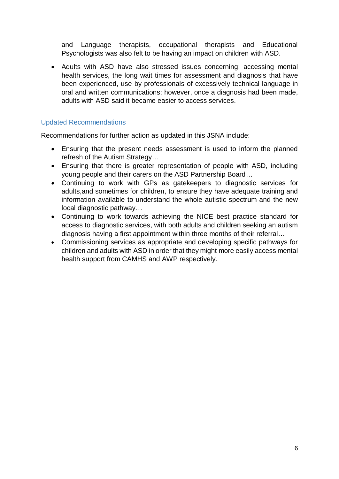and Language therapists, occupational therapists and Educational Psychologists was also felt to be having an impact on children with ASD.

 Adults with ASD have also stressed issues concerning: accessing mental health services, the long wait times for assessment and diagnosis that have been experienced, use by professionals of excessively technical language in oral and written communications; however, once a diagnosis had been made, adults with ASD said it became easier to access services.

#### Updated Recommendations

Recommendations for further action as updated in this JSNA include:

- Ensuring that the present needs assessment is used to inform the planned refresh of the Autism Strategy…
- Ensuring that there is greater representation of people with ASD, including young people and their carers on the ASD Partnership Board…
- Continuing to work with GPs as gatekeepers to diagnostic services for adults,and sometimes for children, to ensure they have adequate training and information available to understand the whole autistic spectrum and the new local diagnostic pathway…
- Continuing to work towards achieving the NICE best practice standard for access to diagnostic services, with both adults and children seeking an autism diagnosis having a first appointment within three months of their referral…
- Commissioning services as appropriate and developing specific pathways for children and adults with ASD in order that they might more easily access mental health support from CAMHS and AWP respectively.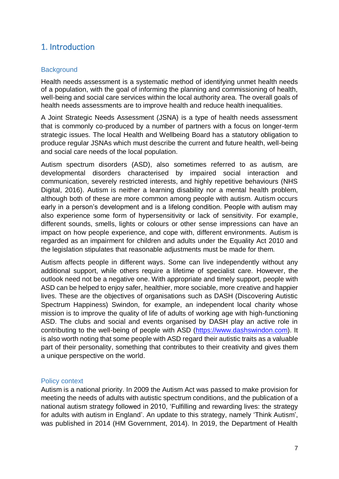### 1. Introduction

#### **Background**

Health needs assessment is a systematic method of identifying unmet health needs of a population, with the goal of informing the planning and commissioning of health, well-being and social care services within the local authority area. The overall goals of health needs assessments are to improve health and reduce health inequalities.

A Joint Strategic Needs Assessment (JSNA) is a type of health needs assessment that is commonly co-produced by a number of partners with a focus on longer-term strategic issues. The local Health and Wellbeing Board has a statutory obligation to produce regular JSNAs which must describe the current and future health, well-being and social care needs of the local population.

Autism spectrum disorders (ASD), also sometimes referred to as autism, are developmental disorders characterised by impaired social interaction and communication, severely restricted interests, and highly repetitive behaviours (NHS Digital, 2016). Autism is neither a learning disability nor a mental health problem, although both of these are more common among people with autism. Autism occurs early in a person's development and is a lifelong condition. People with autism may also experience some form of hypersensitivity or lack of sensitivity. For example, different sounds, smells, lights or colours or other sense impressions can have an impact on how people experience, and cope with, different environments. Autism is regarded as an impairment for children and adults under the Equality Act 2010 and the legislation stipulates that reasonable adjustments must be made for them.

Autism affects people in different ways. Some can live independently without any additional support, while others require a lifetime of specialist care. However, the outlook need not be a negative one. With appropriate and timely support, people with ASD can be helped to enjoy safer, healthier, more sociable, more creative and happier lives. These are the objectives of organisations such as DASH (Discovering Autistic Spectrum Happiness) Swindon, for example, an independent local charity whose mission is to improve the quality of life of adults of working age with high-functioning ASD. The clubs and social and events organised by DASH play an active role in contributing to the well-being of people with ASD [\(https://www.dashswindon.com\)](https://www.dashswindon.com/). It is also worth noting that some people with ASD regard their autistic traits as a valuable part of their personality, something that contributes to their creativity and gives them a unique perspective on the world.

#### Policy context

Autism is a national priority. In 2009 the Autism Act was passed to make provision for meeting the needs of adults with autistic spectrum conditions, and the publication of a national autism strategy followed in 2010, 'Fulfilling and rewarding lives: the strategy for adults with autism in England'. An update to this strategy, namely 'Think Autism', was published in 2014 (HM Government, 2014). In 2019, the Department of Health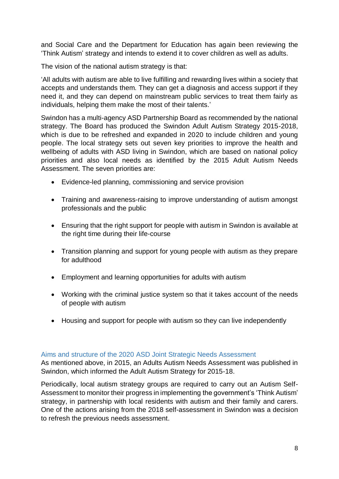and Social Care and the Department for Education has again been reviewing the 'Think Autism' strategy and intends to extend it to cover children as well as adults.

The vision of the national autism strategy is that:

'All adults with autism are able to live fulfilling and rewarding lives within a society that accepts and understands them. They can get a diagnosis and access support if they need it, and they can depend on mainstream public services to treat them fairly as individuals, helping them make the most of their talents.'

Swindon has a multi-agency ASD Partnership Board as recommended by the national strategy. The Board has produced the Swindon Adult Autism Strategy 2015-2018, which is due to be refreshed and expanded in 2020 to include children and young people. The local strategy sets out seven key priorities to improve the health and wellbeing of adults with ASD living in Swindon, which are based on national policy priorities and also local needs as identified by the 2015 Adult Autism Needs Assessment. The seven priorities are:

- Evidence-led planning, commissioning and service provision
- Training and awareness-raising to improve understanding of autism amongst professionals and the public
- Ensuring that the right support for people with autism in Swindon is available at the right time during their life-course
- Transition planning and support for young people with autism as they prepare for adulthood
- Employment and learning opportunities for adults with autism
- Working with the criminal justice system so that it takes account of the needs of people with autism
- Housing and support for people with autism so they can live independently

#### Aims and structure of the 2020 ASD Joint Strategic Needs Assessment

As mentioned above, in 2015, an Adults Autism Needs Assessment was published in Swindon, which informed the Adult Autism Strategy for 2015-18.

Periodically, local autism strategy groups are required to carry out an Autism Self-Assessment to monitor their progress in implementing the government's 'Think Autism' strategy, in partnership with local residents with autism and their family and carers. One of the actions arising from the 2018 self-assessment in Swindon was a decision to refresh the previous needs assessment.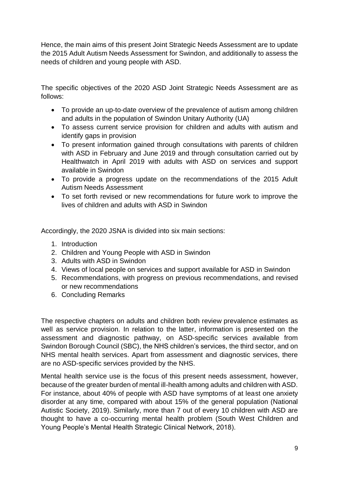Hence, the main aims of this present Joint Strategic Needs Assessment are to update the 2015 Adult Autism Needs Assessment for Swindon, and additionally to assess the needs of children and young people with ASD.

The specific objectives of the 2020 ASD Joint Strategic Needs Assessment are as follows:

- To provide an up-to-date overview of the prevalence of autism among children and adults in the population of Swindon Unitary Authority (UA)
- To assess current service provision for children and adults with autism and identify gaps in provision
- To present information gained through consultations with parents of children with ASD in February and June 2019 and through consultation carried out by Healthwatch in April 2019 with adults with ASD on services and support available in Swindon
- To provide a progress update on the recommendations of the 2015 Adult Autism Needs Assessment
- To set forth revised or new recommendations for future work to improve the lives of children and adults with ASD in Swindon

Accordingly, the 2020 JSNA is divided into six main sections:

- 1. Introduction
- 2. Children and Young People with ASD in Swindon
- 3. Adults with ASD in Swindon
- 4. Views of local people on services and support available for ASD in Swindon
- 5. Recommendations, with progress on previous recommendations, and revised or new recommendations
- 6. Concluding Remarks

The respective chapters on adults and children both review prevalence estimates as well as service provision. In relation to the latter, information is presented on the assessment and diagnostic pathway, on ASD-specific services available from Swindon Borough Council (SBC), the NHS children's services, the third sector, and on NHS mental health services. Apart from assessment and diagnostic services, there are no ASD-specific services provided by the NHS.

Mental health service use is the focus of this present needs assessment, however, because of the greater burden of mental ill-health among adults and children with ASD. For instance, about 40% of people with ASD have symptoms of at least one anxiety disorder at any time, compared with about 15% of the general population (National Autistic Society, 2019). Similarly, more than 7 out of every 10 children with ASD are thought to have a co-occurring mental health problem (South West Children and Young People's Mental Health Strategic Clinical Network, 2018).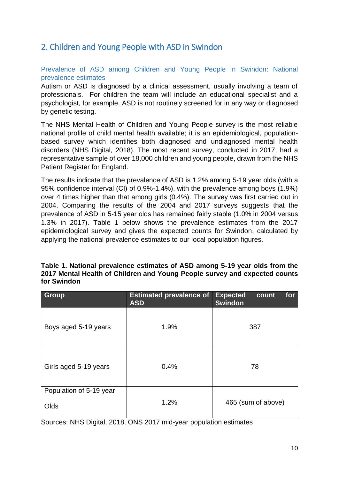### 2. Children and Young People with ASD in Swindon

Prevalence of ASD among Children and Young People in Swindon: National prevalence estimates

Autism or ASD is diagnosed by a clinical assessment, usually involving a team of professionals. For children the team will include an educational specialist and a psychologist, for example. ASD is not routinely screened for in any way or diagnosed by genetic testing.

The NHS Mental Health of Children and Young People survey is the most reliable national profile of child mental health available; it is an epidemiological, populationbased survey which identifies both diagnosed and undiagnosed mental health disorders (NHS Digital, 2018). The most recent survey, conducted in 2017, had a representative sample of over 18,000 children and young people, drawn from the NHS Patient Register for England.

The results indicate that the prevalence of ASD is 1.2% among 5-19 year olds (with a 95% confidence interval (CI) of 0.9%-1.4%), with the prevalence among boys (1.9%) over 4 times higher than that among girls (0.4%). The survey was first carried out in 2004. Comparing the results of the 2004 and 2017 surveys suggests that the prevalence of ASD in 5-15 year olds has remained fairly stable (1.0% in 2004 versus 1.3% in 2017). Table 1 below shows the prevalence estimates from the 2017 epidemiological survey and gives the expected counts for Swindon, calculated by applying the national prevalence estimates to our local population figures.

| Table 1. National prevalence estimates of ASD among 5-19 year olds from the |
|-----------------------------------------------------------------------------|
| 2017 Mental Health of Children and Young People survey and expected counts  |
| for Swindon                                                                 |

| <b>Group</b>                    | <b>Estimated prevalence of</b><br><b>ASD</b> | for<br><b>Expected</b><br>count<br><b>Swindon</b> |
|---------------------------------|----------------------------------------------|---------------------------------------------------|
| Boys aged 5-19 years            | 1.9%                                         | 387                                               |
| Girls aged 5-19 years           | 0.4%                                         | 78                                                |
| Population of 5-19 year<br>Olds | 1.2%                                         | 465 (sum of above)                                |

Sources: NHS Digital, 2018, ONS 2017 mid-year population estimates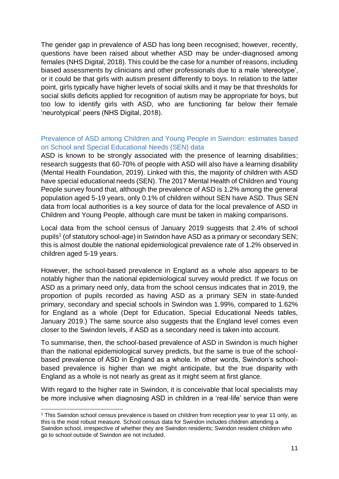The gender gap in prevalence of ASD has long been recognised; however, recently, questions have been raised about whether ASD may be under-diagnosed among females (NHS Digital, 2018). This could be the case for a number of reasons, including biased assessments by clinicians and other professionals due to a male 'stereotype', or it could be that girls with autism present differently to boys. In relation to the latter point, girls typically have higher levels of social skills and it may be that thresholds for social skills deficits applied for recognition of autism may be appropriate for boys, but too low to identify girls with ASD, who are functioning far below their female 'neurotypical' peers (NHS Digital, 2018).

#### Prevalence of ASD among Children and Young People in Swindon: estimates based on School and Special Educational Needs (SEN) data

ASD is known to be strongly associated with the presence of learning disabilities; research suggests that 60-70% of people with ASD will also have a learning disability (Mental Health Foundation, 2019). Linked with this, the majority of children with ASD have special educational needs (SEN). The 2017 Mental Health of Children and Young People survey found that, although the prevalence of ASD is 1.2% among the general population aged 5-19 years, only 0.1% of children without SEN have ASD. Thus SEN data from local authorities is a key source of data for the local prevalence of ASD in Children and Young People, although care must be taken in making comparisons.

Local data from the school census of January 2019 suggests that 2.4% of school pupils<sup>1</sup> (of statutory school-age) in Swindon have ASD as a primary or secondary SEN; this is almost double the national epidemiological prevalence rate of 1.2% observed in children aged 5-19 years.

However, the school-based prevalence in England as a whole also appears to be notably higher than the national epidemiological survey would predict. If we focus on ASD as a primary need only, data from the school census indicates that in 2019, the proportion of pupils recorded as having ASD as a primary SEN in state-funded primary, secondary and special schools in Swindon was 1.99%, compared to 1.62% for England as a whole (Dept for Education, Special Educational Needs tables, January 2019.) The same source also suggests that the England level comes even closer to the Swindon levels, if ASD as a secondary need is taken into account.

To summarise, then, the school-based prevalence of ASD in Swindon is much higher than the national epidemiological survey predicts, but the same is true of the schoolbased prevalence of ASD in England as a whole. In other words, Swindon's schoolbased prevalence is higher than we might anticipate, but the true disparity with England as a whole is not nearly as great as it might seem at first glance.

With regard to the higher rate in Swindon, it is conceivable that local specialists may be more inclusive when diagnosing ASD in children in a 'real-life' service than were

-

<sup>1</sup> This Swindon school census prevalence is based on children from reception year to year 11 only, as this is the most robust measure. School census data for Swindon includes children attending a Swindon school, irrespective of whether they are Swindon residents; Swindon resident children who go to school outside of Swindon are not included.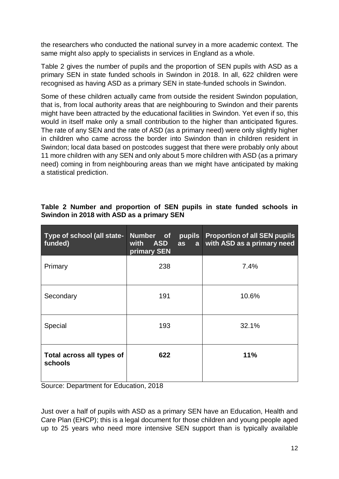the researchers who conducted the national survey in a more academic context. The same might also apply to specialists in services in England as a whole.

Table 2 gives the number of pupils and the proportion of SEN pupils with ASD as a primary SEN in state funded schools in Swindon in 2018. In all, 622 children were recognised as having ASD as a primary SEN in state-funded schools in Swindon.

Some of these children actually came from outside the resident Swindon population, that is, from local authority areas that are neighbouring to Swindon and their parents might have been attracted by the educational facilities in Swindon. Yet even if so, this would in itself make only a small contribution to the higher than anticipated figures. The rate of any SEN and the rate of ASD (as a primary need) were only slightly higher in children who came across the border into Swindon than in children resident in Swindon; local data based on postcodes suggest that there were probably only about 11 more children with any SEN and only about 5 more children with ASD (as a primary need) coming in from neighbouring areas than we might have anticipated by making a statistical prediction.

| Type of school (all state-<br>funded) | Number of<br><b>ASD</b><br>with<br>primary SEN | pupils<br>as<br>a | <b>Proportion of all SEN pupils</b><br>with ASD as a primary need |
|---------------------------------------|------------------------------------------------|-------------------|-------------------------------------------------------------------|
| Primary                               | 238                                            |                   | 7.4%                                                              |
| Secondary                             | 191                                            |                   | 10.6%                                                             |
| Special                               | 193                                            |                   | 32.1%                                                             |
| Total across all types of<br>schools  | 622                                            |                   | 11%                                                               |

#### **Table 2 Number and proportion of SEN pupils in state funded schools in Swindon in 2018 with ASD as a primary SEN**

Source: Department for Education, 2018

Just over a half of pupils with ASD as a primary SEN have an Education, Health and Care Plan (EHCP); this is a legal document for those children and young people aged up to 25 years who need more intensive SEN support than is typically available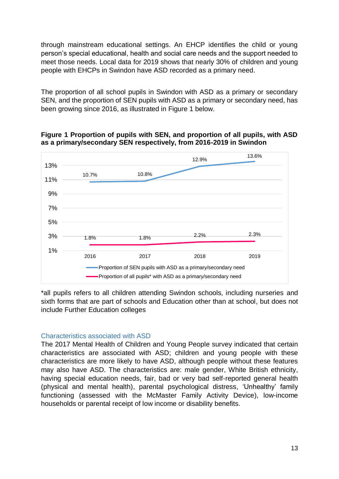through mainstream educational settings. An EHCP identifies the child or young person's special educational, health and social care needs and the support needed to meet those needs. Local data for 2019 shows that nearly 30% of children and young people with EHCPs in Swindon have ASD recorded as a primary need.

The proportion of all school pupils in Swindon with ASD as a primary or secondary SEN, and the proportion of SEN pupils with ASD as a primary or secondary need, has been growing since 2016, as illustrated in Figure 1 below.



**Figure 1 Proportion of pupils with SEN, and proportion of all pupils, with ASD as a primary/secondary SEN respectively, from 2016-2019 in Swindon**

\*all pupils refers to all children attending Swindon schools, including nurseries and sixth forms that are part of schools and Education other than at school, but does not include Further Education colleges

#### Characteristics associated with ASD

The 2017 Mental Health of Children and Young People survey indicated that certain characteristics are associated with ASD; children and young people with these characteristics are more likely to have ASD, although people without these features may also have ASD. The characteristics are: male gender, White British ethnicity, having special education needs, fair, bad or very bad self-reported general health (physical and mental health), parental psychological distress, 'Unhealthy' family functioning (assessed with the McMaster Family Activity Device), low-income households or parental receipt of low income or disability benefits.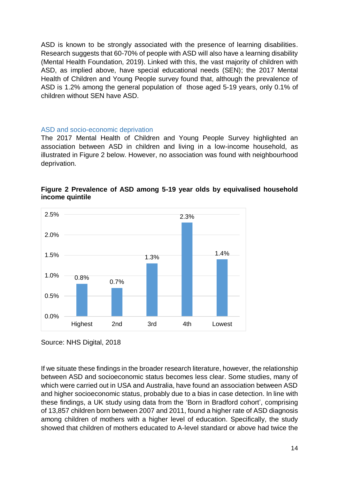ASD is known to be strongly associated with the presence of learning disabilities. Research suggests that 60-70% of people with ASD will also have a learning disability (Mental Health Foundation, 2019). Linked with this, the vast majority of children with ASD, as implied above, have special educational needs (SEN); the 2017 Mental Health of Children and Young People survey found that, although the prevalence of ASD is 1.2% among the general population of those aged 5-19 years, only 0.1% of children without SEN have ASD.

#### ASD and socio-economic deprivation

The 2017 Mental Health of Children and Young People Survey highlighted an association between ASD in children and living in a low-income household, as illustrated in Figure 2 below. However, no association was found with neighbourhood deprivation.



**Figure 2 Prevalence of ASD among 5-19 year olds by equivalised household income quintile** 

Source: NHS Digital, 2018

If we situate these findings in the broader research literature, however, the relationship between ASD and socioeconomic status becomes less clear. Some studies, many of which were carried out in USA and Australia, have found an association between ASD and higher socioeconomic status, probably due to a bias in case detection. In line with these findings, a UK study using data from the 'Born in Bradford cohort', comprising of 13,857 children born between 2007 and 2011, found a higher rate of ASD diagnosis among children of mothers with a higher level of education. Specifically, the study showed that children of mothers educated to A-level standard or above had twice the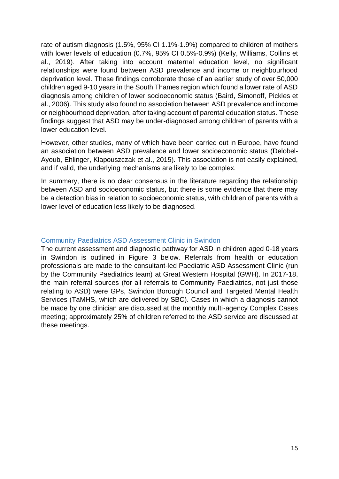rate of autism diagnosis (1.5%, 95% CI 1.1%-1.9%) compared to children of mothers with lower levels of education (0.7%, 95% CI 0.5%-0.9%) (Kelly, Williams, Collins et al., 2019). After taking into account maternal education level, no significant relationships were found between ASD prevalence and income or neighbourhood deprivation level. These findings corroborate those of an earlier study of over 50,000 children aged 9-10 years in the South Thames region which found a lower rate of ASD diagnosis among children of lower socioeconomic status (Baird, Simonoff, Pickles et al., 2006). This study also found no association between ASD prevalence and income or neighbourhood deprivation, after taking account of parental education status. These findings suggest that ASD may be under-diagnosed among children of parents with a lower education level.

However, other studies, many of which have been carried out in Europe, have found an association between ASD prevalence and lower socioeconomic status (Delobel-Ayoub, Ehlinger, Klapouszczak et al., 2015). This association is not easily explained, and if valid, the underlying mechanisms are likely to be complex.

In summary, there is no clear consensus in the literature regarding the relationship between ASD and socioeconomic status, but there is some evidence that there may be a detection bias in relation to socioeconomic status, with children of parents with a lower level of education less likely to be diagnosed.

#### Community Paediatrics ASD Assessment Clinic in Swindon

The current assessment and diagnostic pathway for ASD in children aged 0-18 years in Swindon is outlined in Figure 3 below. Referrals from health or education professionals are made to the consultant-led Paediatric ASD Assessment Clinic (run by the Community Paediatrics team) at Great Western Hospital (GWH). In 2017-18, the main referral sources (for all referrals to Community Paediatrics, not just those relating to ASD) were GPs, Swindon Borough Council and Targeted Mental Health Services (TaMHS, which are delivered by SBC). Cases in which a diagnosis cannot be made by one clinician are discussed at the monthly multi-agency Complex Cases meeting; approximately 25% of children referred to the ASD service are discussed at these meetings.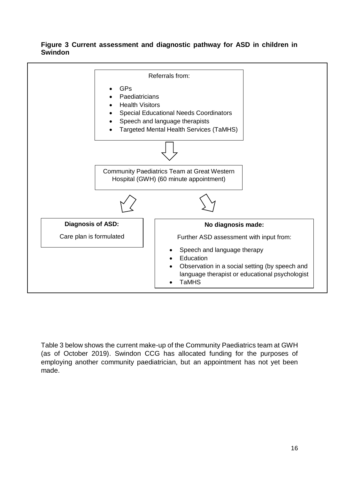#### **Figure 3 Current assessment and diagnostic pathway for ASD in children in Swindon**



Table 3 below shows the current make-up of the Community Paediatrics team at GWH (as of October 2019). Swindon CCG has allocated funding for the purposes of employing another community paediatrician, but an appointment has not yet been made.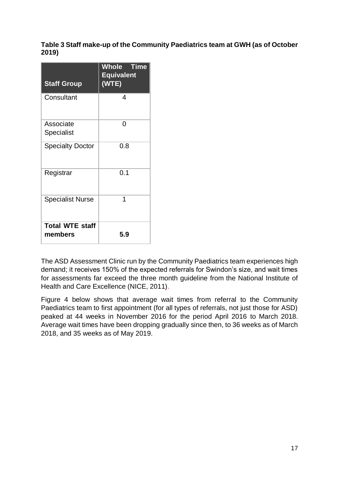#### **Table 3 Staff make-up of the Community Paediatrics team at GWH (as of October 2019)**

| <b>Staff Group</b>                | <b>Whole Time</b><br><b>Equivalent</b><br>(WTE) |
|-----------------------------------|-------------------------------------------------|
| Consultant                        | 4                                               |
| Associate<br>Specialist           | 0                                               |
| <b>Specialty Doctor</b>           | 0.8                                             |
| Registrar                         | 0.1                                             |
| <b>Specialist Nurse</b>           | 1                                               |
| <b>Total WTE staff</b><br>members | 5.9                                             |

The ASD Assessment Clinic run by the Community Paediatrics team experiences high demand; it receives 150% of the expected referrals for Swindon's size, and wait times for assessments far exceed the three month guideline from the National Institute of Health and Care Excellence (NICE, 2011).

Figure 4 below shows that average wait times from referral to the Community Paediatrics team to first appointment (for all types of referrals, not just those for ASD) peaked at 44 weeks in November 2016 for the period April 2016 to March 2018. Average wait times have been dropping gradually since then, to 36 weeks as of March 2018, and 35 weeks as of May 2019.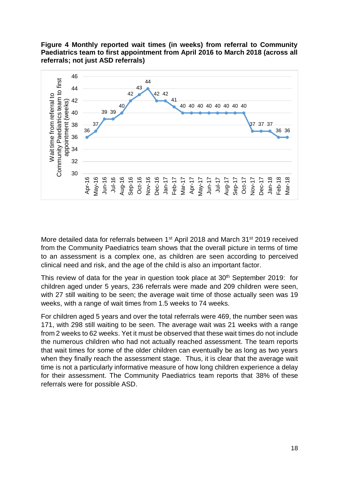



More detailed data for referrals between 1<sup>st</sup> April 2018 and March 31<sup>st</sup> 2019 received from the Community Paediatrics team shows that the overall picture in terms of time to an assessment is a complex one, as children are seen according to perceived clinical need and risk, and the age of the child is also an important factor.

This review of data for the year in question took place at  $30<sup>th</sup>$  September 2019: for children aged under 5 years, 236 referrals were made and 209 children were seen, with 27 still waiting to be seen; the average wait time of those actually seen was 19 weeks, with a range of wait times from 1.5 weeks to 74 weeks.

For children aged 5 years and over the total referrals were 469, the number seen was 171, with 298 still waiting to be seen. The average wait was 21 weeks with a range from 2 weeks to 62 weeks. Yet it must be observed that these wait times do not include the numerous children who had not actually reached assessment. The team reports that wait times for some of the older children can eventually be as long as two years when they finally reach the assessment stage. Thus, it is clear that the average wait time is not a particularly informative measure of how long children experience a delay for their assessment. The Community Paediatrics team reports that 38% of these referrals were for possible ASD.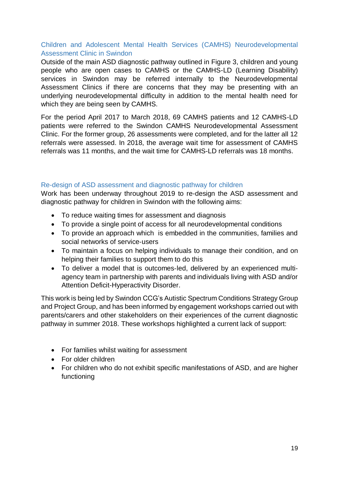#### Children and Adolescent Mental Health Services (CAMHS) Neurodevelopmental Assessment Clinic in Swindon

Outside of the main ASD diagnostic pathway outlined in Figure 3, children and young people who are open cases to CAMHS or the CAMHS-LD (Learning Disability) services in Swindon may be referred internally to the Neurodevelopmental Assessment Clinics if there are concerns that they may be presenting with an underlying neurodevelopmental difficulty in addition to the mental health need for which they are being seen by CAMHS.

For the period April 2017 to March 2018, 69 CAMHS patients and 12 CAMHS-LD patients were referred to the Swindon CAMHS Neurodevelopmental Assessment Clinic. For the former group, 26 assessments were completed, and for the latter all 12 referrals were assessed. In 2018, the average wait time for assessment of CAMHS referrals was 11 months, and the wait time for CAMHS-LD referrals was 18 months.

#### Re-design of ASD assessment and diagnostic pathway for children

Work has been underway throughout 2019 to re-design the ASD assessment and diagnostic pathway for children in Swindon with the following aims:

- To reduce waiting times for assessment and diagnosis
- To provide a single point of access for all neurodevelopmental conditions
- To provide an approach which is embedded in the communities, families and social networks of service‐users
- To maintain a focus on helping individuals to manage their condition, and on helping their families to support them to do this
- To deliver a model that is outcomes‐led, delivered by an experienced multi‐ agency team in partnership with parents and individuals living with ASD and/or Attention Deficit-Hyperactivity Disorder.

This work is being led by Swindon CCG's Autistic Spectrum Conditions Strategy Group and Project Group, and has been informed by engagement workshops carried out with parents/carers and other stakeholders on their experiences of the current diagnostic pathway in summer 2018. These workshops highlighted a current lack of support:

- For families whilst waiting for assessment
- For older children
- For children who do not exhibit specific manifestations of ASD, and are higher functioning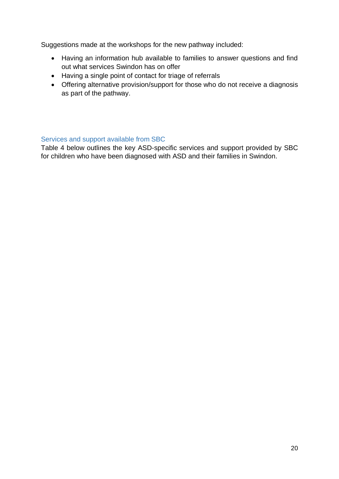Suggestions made at the workshops for the new pathway included:

- Having an information hub available to families to answer questions and find out what services Swindon has on offer
- Having a single point of contact for triage of referrals
- Offering alternative provision/support for those who do not receive a diagnosis as part of the pathway.

#### Services and support available from SBC

Table 4 below outlines the key ASD-specific services and support provided by SBC for children who have been diagnosed with ASD and their families in Swindon.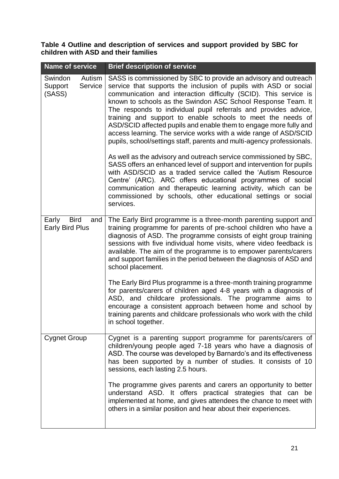**Table 4 Outline and description of services and support provided by SBC for children with ASD and their families**

| <b>Name of service</b>                                | <b>Brief description of service</b>                                                                                                                                                                                                                                                                                                                                                                                                                                                                                                                                                                                                                                                                                                                                                                                                                                                                                                                                                                                                                     |
|-------------------------------------------------------|---------------------------------------------------------------------------------------------------------------------------------------------------------------------------------------------------------------------------------------------------------------------------------------------------------------------------------------------------------------------------------------------------------------------------------------------------------------------------------------------------------------------------------------------------------------------------------------------------------------------------------------------------------------------------------------------------------------------------------------------------------------------------------------------------------------------------------------------------------------------------------------------------------------------------------------------------------------------------------------------------------------------------------------------------------|
| Swindon<br>Autism<br>Service<br>Support<br>(SASS)     | SASS is commissioned by SBC to provide an advisory and outreach<br>service that supports the inclusion of pupils with ASD or social<br>communication and interaction difficulty (SCID). This service is<br>known to schools as the Swindon ASC School Response Team. It<br>The responds to individual pupil referrals and provides advice,<br>training and support to enable schools to meet the needs of<br>ASD/SCID affected pupils and enable them to engage more fully and<br>access learning. The service works with a wide range of ASD/SCID<br>pupils, school/settings staff, parents and multi-agency professionals.<br>As well as the advisory and outreach service commissioned by SBC,<br>SASS offers an enhanced level of support and intervention for pupils<br>with ASD/SCID as a traded service called the 'Autism Resource<br>Centre' (ARC). ARC offers educational programmes of social<br>communication and therapeutic learning activity, which can be<br>commissioned by schools, other educational settings or social<br>services. |
| <b>Bird</b><br>Early<br>and<br><b>Early Bird Plus</b> | The Early Bird programme is a three-month parenting support and<br>training programme for parents of pre-school children who have a<br>diagnosis of ASD. The programme consists of eight group training<br>sessions with five individual home visits, where video feedback is<br>available. The aim of the programme is to empower parents/carers<br>and support families in the period between the diagnosis of ASD and<br>school placement.                                                                                                                                                                                                                                                                                                                                                                                                                                                                                                                                                                                                           |
|                                                       | The Early Bird Plus programme is a three-month training programme<br>for parents/carers of children aged 4-8 years with a diagnosis of<br>ASD, and childcare professionals. The programme aims to<br>encourage a consistent approach between home and school by<br>training parents and childcare professionals who work with the child<br>in school together.                                                                                                                                                                                                                                                                                                                                                                                                                                                                                                                                                                                                                                                                                          |
| <b>Cygnet Group</b>                                   | Cygnet is a parenting support programme for parents/carers of<br>children/young people aged 7-18 years who have a diagnosis of<br>ASD. The course was developed by Barnardo's and its effectiveness<br>has been supported by a number of studies. It consists of 10<br>sessions, each lasting 2.5 hours.                                                                                                                                                                                                                                                                                                                                                                                                                                                                                                                                                                                                                                                                                                                                                |
|                                                       | The programme gives parents and carers an opportunity to better<br>understand ASD. It offers practical strategies that can be<br>implemented at home, and gives attendees the chance to meet with<br>others in a similar position and hear about their experiences.                                                                                                                                                                                                                                                                                                                                                                                                                                                                                                                                                                                                                                                                                                                                                                                     |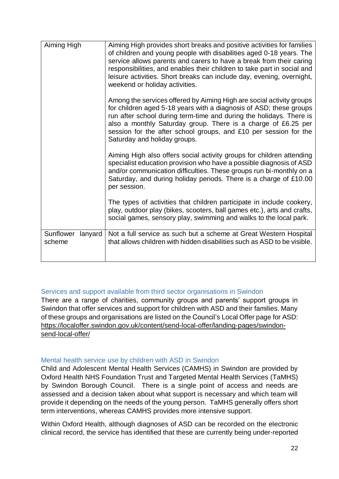| Aiming High                    | Aiming High provides short breaks and positive activities for families<br>of children and young people with disabilities aged 0-18 years. The<br>service allows parents and carers to have a break from their caring<br>responsibilities, and enables their children to take part in social and<br>leisure activities. Short breaks can include day, evening, overnight,<br>weekend or holiday activities. |
|--------------------------------|------------------------------------------------------------------------------------------------------------------------------------------------------------------------------------------------------------------------------------------------------------------------------------------------------------------------------------------------------------------------------------------------------------|
|                                | Among the services offered by Aiming High are social activity groups<br>for children aged 5-18 years with a diagnosis of ASD; these groups<br>run after school during term-time and during the holidays. There is<br>also a monthly Saturday group. There is a charge of £6.25 per<br>session for the after school groups, and £10 per session for the<br>Saturday and holiday groups.                     |
|                                | Aiming High also offers social activity groups for children attending<br>specialist education provision who have a possible diagnosis of ASD<br>and/or communication difficulties. These groups run bi-monthly on a<br>Saturday, and during holiday periods. There is a charge of £10.00<br>per session.                                                                                                   |
|                                | The types of activities that children participate in include cookery,<br>play, outdoor play (bikes, scooters, ball games etc.), arts and crafts,<br>social games, sensory play, swimming and walks to the local park.                                                                                                                                                                                      |
| Sunflower<br>lanyard<br>scheme | Not a full service as such but a scheme at Great Western Hospital<br>that allows children with hidden disabilities such as ASD to be visible.                                                                                                                                                                                                                                                              |

#### Services and support available from third sector organisations in Swindon

There are a range of charities, community groups and parents' support groups in Swindon that offer services and support for children with ASD and their families. Many of these groups and organisations are listed on the Council's Local Offer page for ASD: https://localoffer.swindon.gov.uk/content/send-local-offer/landing-pages/swindonsend-local-offer/

#### Mental health service use by children with ASD in Swindon

Child and Adolescent Mental Health Services (CAMHS) in Swindon are provided by Oxford Health NHS Foundation Trust and Targeted Mental Health Services (TaMHS) by Swindon Borough Council. There is a single point of access and needs are assessed and a decision taken about what support is necessary and which team will provide it depending on the needs of the young person. TaMHS generally offers short term interventions, whereas CAMHS provides more intensive support.

Within Oxford Health, although diagnoses of ASD can be recorded on the electronic clinical record, the service has identified that these are currently being under-reported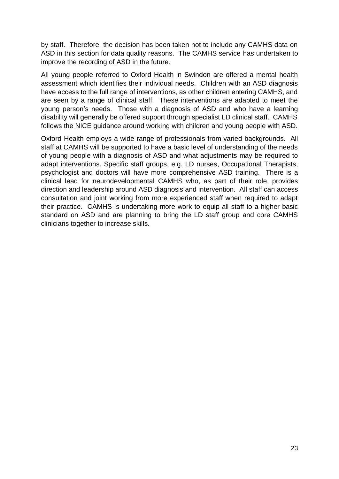by staff. Therefore, the decision has been taken not to include any CAMHS data on ASD in this section for data quality reasons. The CAMHS service has undertaken to improve the recording of ASD in the future.

All young people referred to Oxford Health in Swindon are offered a mental health assessment which identifies their individual needs. Children with an ASD diagnosis have access to the full range of interventions, as other children entering CAMHS, and are seen by a range of clinical staff. These interventions are adapted to meet the young person's needs. Those with a diagnosis of ASD and who have a learning disability will generally be offered support through specialist LD clinical staff. CAMHS follows the NICE guidance around working with children and young people with ASD.

Oxford Health employs a wide range of professionals from varied backgrounds. All staff at CAMHS will be supported to have a basic level of understanding of the needs of young people with a diagnosis of ASD and what adjustments may be required to adapt interventions. Specific staff groups, e.g. LD nurses, Occupational Therapists, psychologist and doctors will have more comprehensive ASD training. There is a clinical lead for neurodevelopmental CAMHS who, as part of their role, provides direction and leadership around ASD diagnosis and intervention. All staff can access consultation and joint working from more experienced staff when required to adapt their practice. CAMHS is undertaking more work to equip all staff to a higher basic standard on ASD and are planning to bring the LD staff group and core CAMHS clinicians together to increase skills.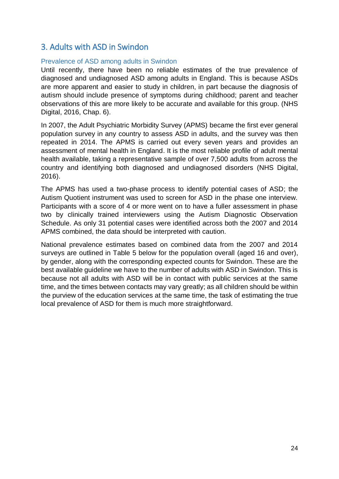### 3. Adults with ASD in Swindon

#### Prevalence of ASD among adults in Swindon

Until recently, there have been no reliable estimates of the true prevalence of diagnosed and undiagnosed ASD among adults in England. This is because ASDs are more apparent and easier to study in children, in part because the diagnosis of autism should include presence of symptoms during childhood; parent and teacher observations of this are more likely to be accurate and available for this group. (NHS Digital, 2016, Chap. 6).

In 2007, the Adult Psychiatric Morbidity Survey (APMS) became the first ever general population survey in any country to assess ASD in adults, and the survey was then repeated in 2014. The APMS is carried out every seven years and provides an assessment of mental health in England. It is the most reliable profile of adult mental health available, taking a representative sample of over 7,500 adults from across the country and identifying both diagnosed and undiagnosed disorders (NHS Digital, 2016).

The APMS has used a two-phase process to identify potential cases of ASD; the Autism Quotient instrument was used to screen for ASD in the phase one interview. Participants with a score of 4 or more went on to have a fuller assessment in phase two by clinically trained interviewers using the Autism Diagnostic Observation Schedule. As only 31 potential cases were identified across both the 2007 and 2014 APMS combined, the data should be interpreted with caution.

National prevalence estimates based on combined data from the 2007 and 2014 surveys are outlined in Table 5 below for the population overall (aged 16 and over), by gender, along with the corresponding expected counts for Swindon. These are the best available guideline we have to the number of adults with ASD in Swindon. This is because not all adults with ASD will be in contact with public services at the same time, and the times between contacts may vary greatly; as all children should be within the purview of the education services at the same time, the task of estimating the true local prevalence of ASD for them is much more straightforward.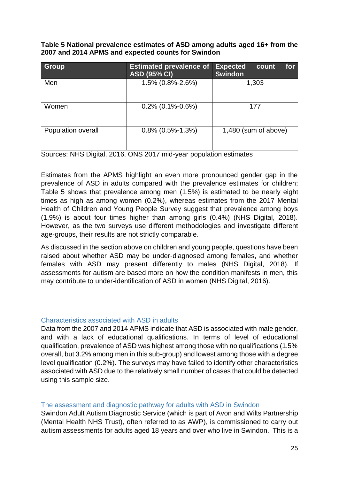**Table 5 National prevalence estimates of ASD among adults aged 16+ from the 2007 and 2014 APMS and expected counts for Swindon**

| <b>Group</b>       | <b>Estimated prevalence of</b><br><b>ASD (95% CI)</b> | <b>Expected</b><br>for<br>count<br><b>Swindon</b> |
|--------------------|-------------------------------------------------------|---------------------------------------------------|
| Men                | 1.5% (0.8%-2.6%)                                      | 1,303                                             |
| Women              | $0.2\%$ (0.1%-0.6%)                                   | 177                                               |
| Population overall | $0.8\%$ (0.5%-1.3%)                                   | 1,480 (sum of above)                              |

Sources: NHS Digital, 2016, ONS 2017 mid-year population estimates

Estimates from the APMS highlight an even more pronounced gender gap in the prevalence of ASD in adults compared with the prevalence estimates for children; Table 5 shows that prevalence among men (1.5%) is estimated to be nearly eight times as high as among women (0.2%), whereas estimates from the 2017 Mental Health of Children and Young People Survey suggest that prevalence among boys (1.9%) is about four times higher than among girls (0.4%) (NHS Digital, 2018). However, as the two surveys use different methodologies and investigate different age-groups, their results are not strictly comparable.

As discussed in the section above on children and young people, questions have been raised about whether ASD may be under-diagnosed among females, and whether females with ASD may present differently to males (NHS Digital, 2018). If assessments for autism are based more on how the condition manifests in men, this may contribute to under-identification of ASD in women (NHS Digital, 2016).

#### Characteristics associated with ASD in adults

Data from the 2007 and 2014 APMS indicate that ASD is associated with male gender, and with a lack of educational qualifications. In terms of level of educational qualification, prevalence of ASD was highest among those with no qualifications (1.5% overall, but 3.2% among men in this sub-group) and lowest among those with a degree level qualification (0.2%). The surveys may have failed to identify other characteristics associated with ASD due to the relatively small number of cases that could be detected using this sample size.

#### The assessment and diagnostic pathway for adults with ASD in Swindon

Swindon Adult Autism Diagnostic Service (which is part of Avon and Wilts Partnership (Mental Health NHS Trust), often referred to as AWP), is commissioned to carry out autism assessments for adults aged 18 years and over who live in Swindon. This is a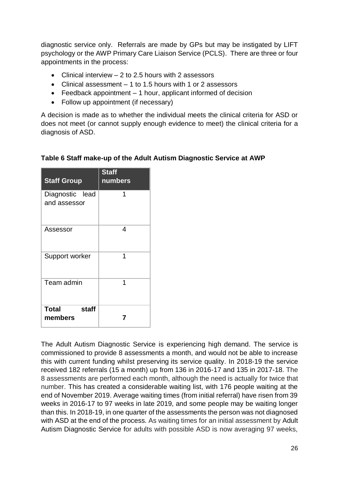diagnostic service only. Referrals are made by GPs but may be instigated by LIFT psychology or the AWP Primary Care Liaison Service (PCLS). There are three or four appointments in the process:

- Clinical interview 2 to 2.5 hours with 2 assessors
- Clinical assessment 1 to 1.5 hours with 1 or 2 assessors
- $\bullet$  Feedback appointment  $-1$  hour, applicant informed of decision
- Follow up appointment (if necessary)

A decision is made as to whether the individual meets the clinical criteria for ASD or does not meet (or cannot supply enough evidence to meet) the clinical criteria for a diagnosis of ASD.

| <b>Staff Group</b>               | <b>Staff</b><br>numbers |
|----------------------------------|-------------------------|
| Diagnostic lead<br>and assessor  | 1                       |
| Assessor                         | 4                       |
| Support worker                   | 1                       |
| Team admin                       | 1                       |
| <b>Total</b><br>staff<br>members |                         |

#### **Table 6 Staff make-up of the Adult Autism Diagnostic Service at AWP**

The Adult Autism Diagnostic Service is experiencing high demand. The service is commissioned to provide 8 assessments a month, and would not be able to increase this with current funding whilst preserving its service quality. In 2018-19 the service received 182 referrals (15 a month) up from 136 in 2016-17 and 135 in 2017-18. The 8 assessments are performed each month, although the need is actually for twice that number. This has created a considerable waiting list, with 176 people waiting at the end of November 2019. Average waiting times (from initial referral) have risen from 39 weeks in 2016-17 to 97 weeks in late 2019, and some people may be waiting longer than this. In 2018-19, in one quarter of the assessments the person was not diagnosed with ASD at the end of the process. As waiting times for an initial assessment by Adult Autism Diagnostic Service for adults with possible ASD is now averaging 97 weeks,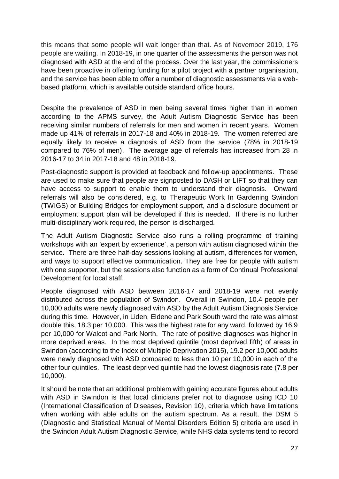this means that some people will wait longer than that. As of November 2019, 176 people are waiting. In 2018-19, in one quarter of the assessments the person was not diagnosed with ASD at the end of the process. Over the last year, the commissioners have been proactive in offering funding for a pilot project with a partner organisation, and the service has been able to offer a number of diagnostic assessments via a webbased platform, which is available outside standard office hours.

Despite the prevalence of ASD in men being several times higher than in women according to the APMS survey, the Adult Autism Diagnostic Service has been receiving similar numbers of referrals for men and women in recent years. Women made up 41% of referrals in 2017-18 and 40% in 2018-19. The women referred are equally likely to receive a diagnosis of ASD from the service (78% in 2018-19 compared to 76% of men). The average age of referrals has increased from 28 in 2016-17 to 34 in 2017-18 and 48 in 2018-19.

Post-diagnostic support is provided at feedback and follow-up appointments. These are used to make sure that people are signposted to DASH or LIFT so that they can have access to support to enable them to understand their diagnosis. Onward referrals will also be considered, e.g. to Therapeutic Work In Gardening Swindon (TWIGS) or Building Bridges for employment support, and a disclosure document or employment support plan will be developed if this is needed. If there is no further multi-disciplinary work required, the person is discharged.

The Adult Autism Diagnostic Service also runs a rolling programme of training workshops with an 'expert by experience', a person with autism diagnosed within the service. There are three half-day sessions looking at autism, differences for women, and ways to support effective communication. They are free for people with autism with one supporter, but the sessions also function as a form of Continual Professional Development for local staff.

People diagnosed with ASD between 2016-17 and 2018-19 were not evenly distributed across the population of Swindon. Overall in Swindon, 10.4 people per 10,000 adults were newly diagnosed with ASD by the Adult Autism Diagnosis Service during this time. However, in Liden, Eldene and Park South ward the rate was almost double this, 18.3 per 10,000. This was the highest rate for any ward, followed by 16.9 per 10,000 for Walcot and Park North. The rate of positive diagnoses was higher in more deprived areas. In the most deprived quintile (most deprived fifth) of areas in Swindon (according to the Index of Multiple Deprivation 2015), 19.2 per 10,000 adults were newly diagnosed with ASD compared to less than 10 per 10,000 in each of the other four quintiles. The least deprived quintile had the lowest diagnosis rate (7.8 per 10,000).

It should be note that an additional problem with gaining accurate figures about adults with ASD in Swindon is that local clinicians prefer not to diagnose using ICD 10 (International Classification of Diseases, Revision 10), criteria which have limitations when working with able adults on the autism spectrum. As a result, the DSM 5 (Diagnostic and Statistical Manual of Mental Disorders Edition 5) criteria are used in the Swindon Adult Autism Diagnostic Service, while NHS data systems tend to record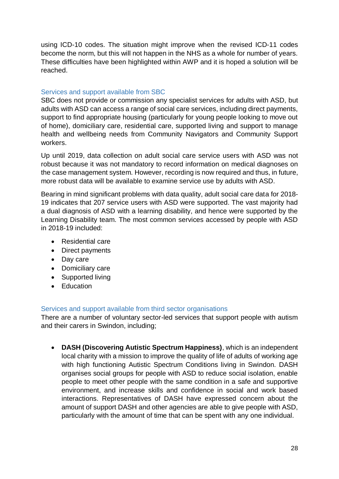using ICD-10 codes. The situation might improve when the revised ICD-11 codes become the norm, but this will not happen in the NHS as a whole for number of years. These difficulties have been highlighted within AWP and it is hoped a solution will be reached.

#### Services and support available from SBC

SBC does not provide or commission any specialist services for adults with ASD, but adults with ASD can access a range of social care services, including direct payments, support to find appropriate housing (particularly for young people looking to move out of home), domiciliary care, residential care, supported living and support to manage health and wellbeing needs from Community Navigators and Community Support workers.

Up until 2019, data collection on adult social care service users with ASD was not robust because it was not mandatory to record information on medical diagnoses on the case management system. However, recording is now required and thus, in future, more robust data will be available to examine service use by adults with ASD.

Bearing in mind significant problems with data quality, adult social care data for 2018- 19 indicates that 207 service users with ASD were supported. The vast majority had a dual diagnosis of ASD with a learning disability, and hence were supported by the Learning Disability team. The most common services accessed by people with ASD in 2018-19 included:

- Residential care
- Direct payments
- Day care
- Domiciliary care
- Supported living
- Education

#### Services and support available from third sector organisations

There are a number of voluntary sector-led services that support people with autism and their carers in Swindon, including;

 **DASH (Discovering Autistic Spectrum Happiness)**, which is an independent local charity with a mission to improve the quality of life of adults of working age with high functioning Autistic Spectrum Conditions living in Swindon. DASH organises social groups for people with ASD to reduce social isolation, enable people to meet other people with the same condition in a safe and supportive environment, and increase skills and confidence in social and work based interactions. Representatives of DASH have expressed concern about the amount of support DASH and other agencies are able to give people with ASD, particularly with the amount of time that can be spent with any one individual.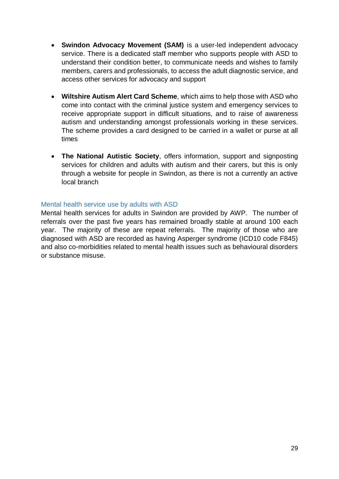- **Swindon Advocacy Movement (SAM)** is a user-led independent advocacy service. There is a dedicated staff member who supports people with ASD to understand their condition better, to communicate needs and wishes to family members, carers and professionals, to access the adult diagnostic service, and access other services for advocacy and support
- **Wiltshire Autism Alert Card Scheme**, which aims to help those with ASD who come into contact with the criminal justice system and emergency services to receive appropriate support in difficult situations, and to raise of awareness autism and understanding amongst professionals working in these services. The scheme provides a card designed to be carried in a wallet or purse at all times
- **The National Autistic Society**, offers information, support and signposting services for children and adults with autism and their carers, but this is only through a website for people in Swindon, as there is not a currently an active local branch

#### Mental health service use by adults with ASD

Mental health services for adults in Swindon are provided by AWP. The number of referrals over the past five years has remained broadly stable at around 100 each year. The majority of these are repeat referrals. The majority of those who are diagnosed with ASD are recorded as having Asperger syndrome (ICD10 code F845) and also co-morbidities related to mental health issues such as behavioural disorders or substance misuse.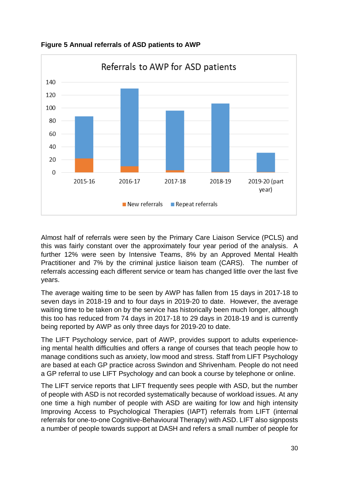

**Figure 5 Annual referrals of ASD patients to AWP**

Almost half of referrals were seen by the Primary Care Liaison Service (PCLS) and this was fairly constant over the approximately four year period of the analysis. A further 12% were seen by Intensive Teams, 8% by an Approved Mental Health Practitioner and 7% by the criminal justice liaison team (CARS). The number of referrals accessing each different service or team has changed little over the last five years.

The average waiting time to be seen by AWP has fallen from 15 days in 2017-18 to seven days in 2018-19 and to four days in 2019-20 to date. However, the average waiting time to be taken on by the service has historically been much longer, although this too has reduced from 74 days in 2017-18 to 29 days in 2018-19 and is currently being reported by AWP as only three days for 2019-20 to date.

The LIFT Psychology service, part of AWP, provides support to adults experienceing mental health difficulties and offers a range of courses that teach people how to manage conditions such as anxiety, low mood and stress. Staff from LIFT Psychology are based at each GP practice across Swindon and Shrivenham. People do not need a GP referral to use LIFT Psychology and can book a course by telephone or online.

The LIFT service reports that LIFT frequently sees people with ASD, but the number of people with ASD is not recorded systematically because of workload issues. At any one time a high number of people with ASD are waiting for low and high intensity Improving Access to Psychological Therapies (IAPT) referrals from LIFT (internal referrals for one-to-one Cognitive-Behavioural Therapy) with ASD. LIFT also signposts a number of people towards support at DASH and refers a small number of people for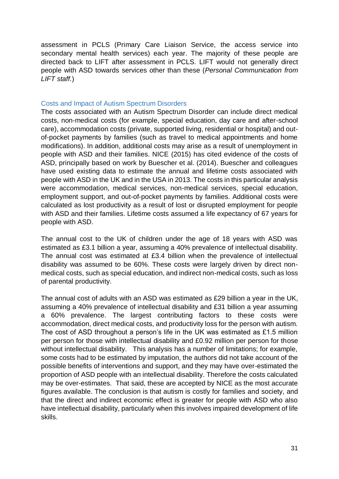assessment in PCLS (Primary Care Liaison Service, the access service into secondary mental health services) each year. The majority of these people are directed back to LIFT after assessment in PCLS. LIFT would not generally direct people with ASD towards services other than these (*Personal Communication from LIFT staff.*)

#### Costs and Impact of Autism Spectrum Disorders

The costs associated with an Autism Spectrum Disorder can include direct medical costs, non-medical costs (for example, special education, day care and after-school care), accommodation costs (private, supported living, residential or hospital) and outof-pocket payments by families (such as travel to medical appointments and home modifications). In addition, additional costs may arise as a result of unemployment in people with ASD and their families. NICE (2015) has cited evidence of the costs of ASD, principally based on work by Buescher et al. (2014). Buescher and colleagues have used existing data to estimate the annual and lifetime costs associated with people with ASD in the UK and in the USA in 2013. The costs in this particular analysis were accommodation, medical services, non-medical services, special education, employment support, and out-of-pocket payments by families. Additional costs were calculated as lost productivity as a result of lost or disrupted employment for people with ASD and their families. Lifetime costs assumed a life expectancy of 67 years for people with ASD.

The annual cost to the UK of children under the age of 18 years with ASD was estimated as £3.1 billion a year, assuming a 40% prevalence of intellectual disability. The annual cost was estimated at £3.4 billion when the prevalence of intellectual disability was assumed to be 60%. These costs were largely driven by direct nonmedical costs, such as special education, and indirect non-medical costs, such as loss of parental productivity.

The annual cost of adults with an ASD was estimated as £29 billion a year in the UK, assuming a 40% prevalence of intellectual disability and £31 billion a year assuming a 60% prevalence. The largest contributing factors to these costs were accommodation, direct medical costs, and productivity loss for the person with autism. The cost of ASD throughout a person's life in the UK was estimated as £1.5 million per person for those with intellectual disability and £0.92 million per person for those without intellectual disability. This analysis has a number of limitations; for example, some costs had to be estimated by imputation, the authors did not take account of the possible benefits of interventions and support, and they may have over-estimated the proportion of ASD people with an intellectual disability. Therefore the costs calculated may be over-estimates. That said, these are accepted by NICE as the most accurate figures available. The conclusion is that autism is costly for families and society, and that the direct and indirect economic effect is greater for people with ASD who also have intellectual disability, particularly when this involves impaired development of life skills.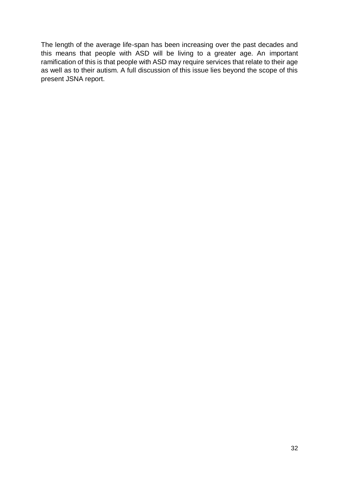The length of the average life-span has been increasing over the past decades and this means that people with ASD will be living to a greater age. An important ramification of this is that people with ASD may require services that relate to their age as well as to their autism. A full discussion of this issue lies beyond the scope of this present JSNA report.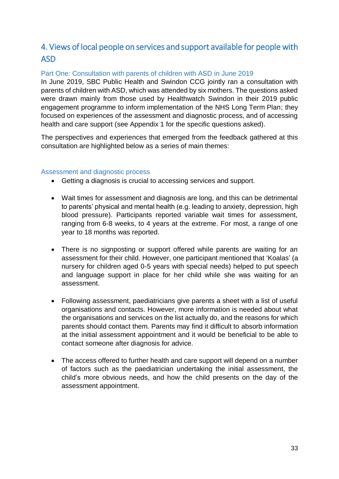# 4. Views of local people on services and support available for people with ASD

#### Part One: Consultation with parents of children with ASD in June 2019

In June 2019, SBC Public Health and Swindon CCG jointly ran a consultation with parents of children with ASD, which was attended by six mothers. The questions asked were drawn mainly from those used by Healthwatch Swindon in their 2019 public engagement programme to inform implementation of the NHS Long Term Plan; they focused on experiences of the assessment and diagnostic process, and of accessing health and care support (see Appendix 1 for the specific questions asked).

The perspectives and experiences that emerged from the feedback gathered at this consultation are highlighted below as a series of main themes:

#### Assessment and diagnostic process

- Getting a diagnosis is crucial to accessing services and support.
- Wait times for assessment and diagnosis are long, and this can be detrimental to parents' physical and mental health (e.g. leading to anxiety, depression, high blood pressure). Participants reported variable wait times for assessment, ranging from 6-8 weeks, to 4 years at the extreme. For most, a range of one year to 18 months was reported.
- There is no signposting or support offered while parents are waiting for an assessment for their child. However, one participant mentioned that 'Koalas' (a nursery for children aged 0-5 years with special needs) helped to put speech and language support in place for her child while she was waiting for an assessment.
- Following assessment, paediatricians give parents a sheet with a list of useful organisations and contacts. However, more information is needed about what the organisations and services on the list actually do, and the reasons for which parents should contact them. Parents may find it difficult to absorb information at the initial assessment appointment and it would be beneficial to be able to contact someone after diagnosis for advice.
- The access offered to further health and care support will depend on a number of factors such as the paediatrician undertaking the initial assessment, the child's more obvious needs, and how the child presents on the day of the assessment appointment.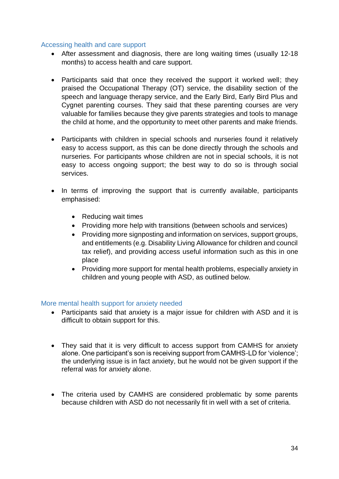#### Accessing health and care support

- After assessment and diagnosis, there are long waiting times (usually 12-18 months) to access health and care support.
- Participants said that once they received the support it worked well; they praised the Occupational Therapy (OT) service, the disability section of the speech and language therapy service, and the Early Bird, Early Bird Plus and Cygnet parenting courses. They said that these parenting courses are very valuable for families because they give parents strategies and tools to manage the child at home, and the opportunity to meet other parents and make friends.
- Participants with children in special schools and nurseries found it relatively easy to access support, as this can be done directly through the schools and nurseries. For participants whose children are not in special schools, it is not easy to access ongoing support; the best way to do so is through social services.
- In terms of improving the support that is currently available, participants emphasised:
	- Reducing wait times
	- Providing more help with transitions (between schools and services)
	- Providing more signposting and information on services, support groups, and entitlements (e.g. Disability Living Allowance for children and council tax relief), and providing access useful information such as this in one place
	- Providing more support for mental health problems, especially anxiety in children and young people with ASD, as outlined below.

#### More mental health support for anxiety needed

- Participants said that anxiety is a major issue for children with ASD and it is difficult to obtain support for this.
- They said that it is very difficult to access support from CAMHS for anxiety alone. One participant's son is receiving support from CAMHS-LD for 'violence'; the underlying issue is in fact anxiety, but he would not be given support if the referral was for anxiety alone.
- The criteria used by CAMHS are considered problematic by some parents because children with ASD do not necessarily fit in well with a set of criteria.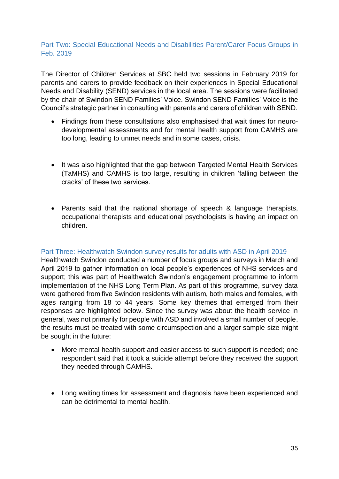#### Part Two: Special Educational Needs and Disabilities Parent/Carer Focus Groups in Feb. 2019

The Director of Children Services at SBC held two sessions in February 2019 for parents and carers to provide feedback on their experiences in Special Educational Needs and Disability (SEND) services in the local area. The sessions were facilitated by the chair of Swindon SEND Families' Voice. Swindon SEND Families' Voice is the Council's strategic partner in consulting with parents and carers of children with SEND.

- Findings from these consultations also emphasised that wait times for neurodevelopmental assessments and for mental health support from CAMHS are too long, leading to unmet needs and in some cases, crisis.
- It was also highlighted that the gap between Targeted Mental Health Services (TaMHS) and CAMHS is too large, resulting in children 'falling between the cracks' of these two services.
- Parents said that the national shortage of speech & language therapists, occupational therapists and educational psychologists is having an impact on children.

#### Part Three: Healthwatch Swindon survey results for adults with ASD in April 2019

Healthwatch Swindon conducted a number of focus groups and surveys in March and April 2019 to gather information on local people's experiences of NHS services and support; this was part of Healthwatch Swindon's engagement programme to inform implementation of the NHS Long Term Plan. As part of this programme, survey data were gathered from five Swindon residents with autism, both males and females, with ages ranging from 18 to 44 years. Some key themes that emerged from their responses are highlighted below. Since the survey was about the health service in general, was not primarily for people with ASD and involved a small number of people, the results must be treated with some circumspection and a larger sample size might be sought in the future:

- More mental health support and easier access to such support is needed; one respondent said that it took a suicide attempt before they received the support they needed through CAMHS.
- Long waiting times for assessment and diagnosis have been experienced and can be detrimental to mental health.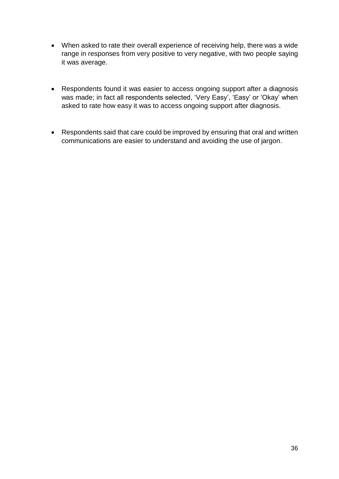- When asked to rate their overall experience of receiving help, there was a wide range in responses from very positive to very negative, with two people saying it was average.
- Respondents found it was easier to access ongoing support after a diagnosis was made; in fact all respondents selected, 'Very Easy', 'Easy' or 'Okay' when asked to rate how easy it was to access ongoing support after diagnosis.
- Respondents said that care could be improved by ensuring that oral and written communications are easier to understand and avoiding the use of jargon.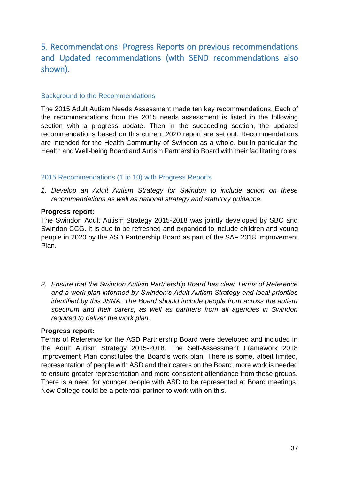# 5. Recommendations: Progress Reports on previous recommendations and Updated recommendations (with SEND recommendations also shown).

#### Background to the Recommendations

The 2015 Adult Autism Needs Assessment made ten key recommendations. Each of the recommendations from the 2015 needs assessment is listed in the following section with a progress update. Then in the succeeding section, the updated recommendations based on this current 2020 report are set out. Recommendations are intended for the Health Community of Swindon as a whole, but in particular the Health and Well-being Board and Autism Partnership Board with their facilitating roles.

#### 2015 Recommendations (1 to 10) with Progress Reports

*1. Develop an Adult Autism Strategy for Swindon to include action on these recommendations as well as national strategy and statutory guidance.*

#### **Progress report:**

The Swindon Adult Autism Strategy 2015-2018 was jointly developed by SBC and Swindon CCG. It is due to be refreshed and expanded to include children and young people in 2020 by the ASD Partnership Board as part of the SAF 2018 Improvement Plan.

*2. Ensure that the Swindon Autism Partnership Board has clear Terms of Reference and a work plan informed by Swindon's Adult Autism Strategy and local priorities identified by this JSNA. The Board should include people from across the autism spectrum and their carers, as well as partners from all agencies in Swindon required to deliver the work plan.*

#### **Progress report:**

Terms of Reference for the ASD Partnership Board were developed and included in the Adult Autism Strategy 2015-2018. The Self-Assessment Framework 2018 Improvement Plan constitutes the Board's work plan. There is some, albeit limited, representation of people with ASD and their carers on the Board; more work is needed to ensure greater representation and more consistent attendance from these groups. There is a need for younger people with ASD to be represented at Board meetings; New College could be a potential partner to work with on this.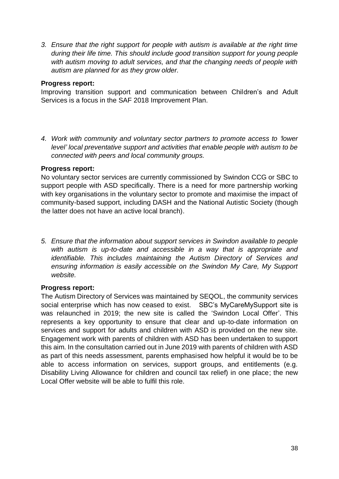*3. Ensure that the right support for people with autism is available at the right time during their life time. This should include good transition support for young people with autism moving to adult services, and that the changing needs of people with autism are planned for as they grow older.*

#### **Progress report:**

Improving transition support and communication between Children's and Adult Services is a focus in the SAF 2018 Improvement Plan.

*4. Work with community and voluntary sector partners to promote access to 'lower level' local preventative support and activities that enable people with autism to be connected with peers and local community groups.*

#### **Progress report:**

No voluntary sector services are currently commissioned by Swindon CCG or SBC to support people with ASD specifically. There is a need for more partnership working with key organisations in the voluntary sector to promote and maximise the impact of community-based support, including DASH and the National Autistic Society (though the latter does not have an active local branch).

*5. Ensure that the information about support services in Swindon available to people*  with autism is up-to-date and accessible in a way that is appropriate and *identifiable. This includes maintaining the Autism Directory of Services and ensuring information is easily accessible on the Swindon My Care, My Support website.*

#### **Progress report:**

The Autism Directory of Services was maintained by SEQOL, the community services social enterprise which has now ceased to exist. SBC's MyCareMySupport site is was relaunched in 2019; the new site is called the 'Swindon Local Offer'. This represents a key opportunity to ensure that clear and up-to-date information on services and support for adults and children with ASD is provided on the new site. Engagement work with parents of children with ASD has been undertaken to support this aim. In the consultation carried out in June 2019 with parents of children with ASD as part of this needs assessment, parents emphasised how helpful it would be to be able to access information on services, support groups, and entitlements (e.g. Disability Living Allowance for children and council tax relief) in one place; the new Local Offer website will be able to fulfil this role.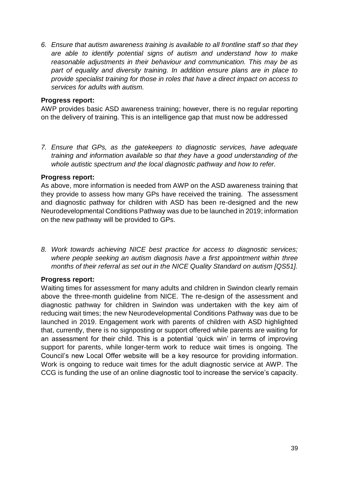*6. Ensure that autism awareness training is available to all frontline staff so that they are able to identify potential signs of autism and understand how to make reasonable adjustments in their behaviour and communication. This may be as part of equality and diversity training. In addition ensure plans are in place to provide specialist training for those in roles that have a direct impact on access to services for adults with autism.*

#### **Progress report:**

AWP provides basic ASD awareness training; however, there is no regular reporting on the delivery of training. This is an intelligence gap that must now be addressed

*7. Ensure that GPs, as the gatekeepers to diagnostic services, have adequate training and information available so that they have a good understanding of the whole autistic spectrum and the local diagnostic pathway and how to refer.*

#### **Progress report:**

As above, more information is needed from AWP on the ASD awareness training that they provide to assess how many GPs have received the training. The assessment and diagnostic pathway for children with ASD has been re-designed and the new Neurodevelopmental Conditions Pathway was due to be launched in 2019; information on the new pathway will be provided to GPs.

*8. Work towards achieving NICE best practice for access to diagnostic services; where people seeking an autism diagnosis have a first appointment within three months of their referral as set out in the NICE Quality Standard on autism [QS51].*

#### **Progress report:**

Waiting times for assessment for many adults and children in Swindon clearly remain above the three-month guideline from NICE. The re-design of the assessment and diagnostic pathway for children in Swindon was undertaken with the key aim of reducing wait times; the new Neurodevelopmental Conditions Pathway was due to be launched in 2019. Engagement work with parents of children with ASD highlighted that, currently, there is no signposting or support offered while parents are waiting for an assessment for their child. This is a potential 'quick win' in terms of improving support for parents, while longer-term work to reduce wait times is ongoing. The Council's new Local Offer website will be a key resource for providing information. Work is ongoing to reduce wait times for the adult diagnostic service at AWP. The CCG is funding the use of an online diagnostic tool to increase the service's capacity.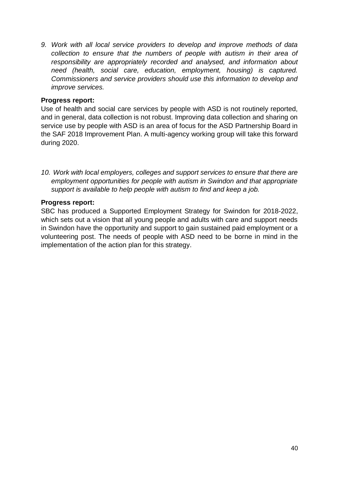*9. Work with all local service providers to develop and improve methods of data collection to ensure that the numbers of people with autism in their area of responsibility are appropriately recorded and analysed, and information about need (health, social care, education, employment, housing) is captured. Commissioners and service providers should use this information to develop and improve services.*

#### **Progress report:**

Use of health and social care services by people with ASD is not routinely reported, and in general, data collection is not robust. Improving data collection and sharing on service use by people with ASD is an area of focus for the ASD Partnership Board in the SAF 2018 Improvement Plan. A multi-agency working group will take this forward during 2020.

*10. Work with local employers, colleges and support services to ensure that there are employment opportunities for people with autism in Swindon and that appropriate support is available to help people with autism to find and keep a job.*

#### **Progress report:**

SBC has produced a Supported Employment Strategy for Swindon for 2018-2022, which sets out a vision that all young people and adults with care and support needs in Swindon have the opportunity and support to gain sustained paid employment or a volunteering post. The needs of people with ASD need to be borne in mind in the implementation of the action plan for this strategy.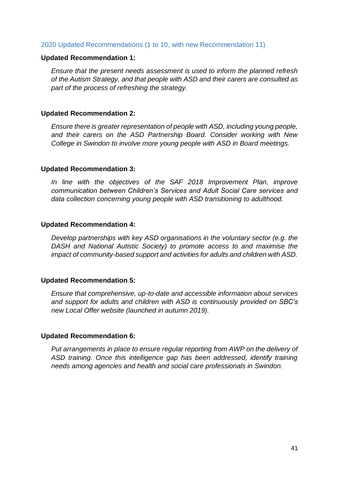#### 2020 Updated Recommendations (1 to 10, with new Recommendation 11)

#### **Updated Recommendation 1:**

*Ensure that the present needs assessment is used to inform the planned refresh of the Autism Strategy, and that people with ASD and their carers are consulted as part of the process of refreshing the strategy.* 

#### **Updated Recommendation 2:**

*Ensure there is greater representation of people with ASD, including young people, and their carers on the ASD Partnership Board. Consider working with New College in Swindon to involve more young people with ASD in Board meetings.*

#### **Updated Recommendation 3:**

*In line with the objectives of the SAF 2018 Improvement Plan, improve communication between Children's Services and Adult Social Care services and data collection concerning young people with ASD transitioning to adulthood.*

#### **Updated Recommendation 4:**

*Develop partnerships with key ASD organisations in the voluntary sector (e.g. the DASH and National Autistic Society) to promote access to and maximise the impact of community-based support and activities for adults and children with ASD.*

#### **Updated Recommendation 5:**

*Ensure that comprehensive, up-to-date and accessible information about services and support for adults and children with ASD is continuously provided on SBC's new Local Offer website (launched in autumn 2019).* 

#### **Updated Recommendation 6:**

*Put arrangements in place to ensure regular reporting from AWP on the delivery of ASD training. Once this intelligence gap has been addressed, identify training needs among agencies and health and social care professionals in Swindon.*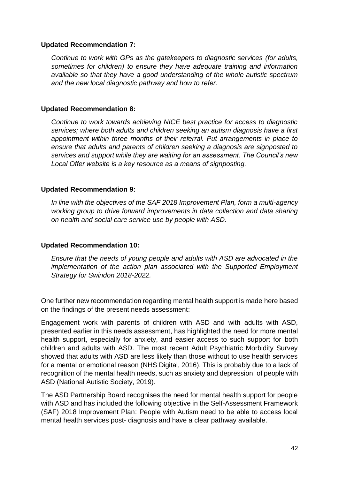#### **Updated Recommendation 7:**

*Continue to work with GPs as the gatekeepers to diagnostic services (for adults, sometimes for children) to ensure they have adequate training and information available so that they have a good understanding of the whole autistic spectrum and the new local diagnostic pathway and how to refer.*

#### **Updated Recommendation 8:**

*Continue to work towards achieving NICE best practice for access to diagnostic services; where both adults and children seeking an autism diagnosis have a first appointment within three months of their referral. Put arrangements in place to ensure that adults and parents of children seeking a diagnosis are signposted to services and support while they are waiting for an assessment. The Council's new Local Offer website is a key resource as a means of signposting.*

#### **Updated Recommendation 9:**

*In line with the objectives of the SAF 2018 Improvement Plan, form a multi-agency working group to drive forward improvements in data collection and data sharing on health and social care service use by people with ASD.*

#### **Updated Recommendation 10:**

*Ensure that the needs of young people and adults with ASD are advocated in the implementation of the action plan associated with the Supported Employment Strategy for Swindon 2018-2022.*

One further new recommendation regarding mental health support is made here based on the findings of the present needs assessment:

Engagement work with parents of children with ASD and with adults with ASD, presented earlier in this needs assessment, has highlighted the need for more mental health support, especially for anxiety, and easier access to such support for both children and adults with ASD. The most recent Adult Psychiatric Morbidity Survey showed that adults with ASD are less likely than those without to use health services for a mental or emotional reason (NHS Digital, 2016). This is probably due to a lack of recognition of the mental health needs, such as anxiety and depression, of people with ASD (National Autistic Society, 2019).

The ASD Partnership Board recognises the need for mental health support for people with ASD and has included the following objective in the Self-Assessment Framework (SAF) 2018 Improvement Plan: People with Autism need to be able to access local mental health services post- diagnosis and have a clear pathway available.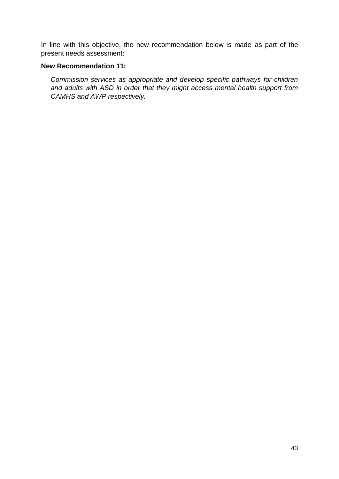In line with this objective, the new recommendation below is made as part of the present needs assessment:

#### **New Recommendation 11:**

*Commission services as appropriate and develop specific pathways for children and adults with ASD in order that they might access mental health support from CAMHS and AWP respectively.*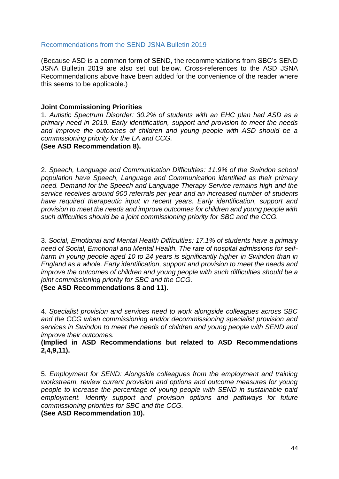#### Recommendations from the SEND JSNA Bulletin 2019

(Because ASD is a common form of SEND, the recommendations from SBC's SEND JSNA Bulletin 2019 are also set out below. Cross-references to the ASD JSNA Recommendations above have been added for the convenience of the reader where this seems to be applicable.)

#### **Joint Commissioning Priorities**

1. *Autistic Spectrum Disorder: 30.2% of students with an EHC plan had ASD as a primary need in 2019. Early identification, support and provision to meet the needs and improve the outcomes of children and young people with ASD should be a commissioning priority for the LA and CCG.* 

#### **(See ASD Recommendation 8).**

2. *Speech, Language and Communication Difficulties: 11.9% of the Swindon school population have Speech, Language and Communication identified as their primary need. Demand for the Speech and Language Therapy Service remains high and the service receives around 900 referrals per year and an increased number of students have required therapeutic input in recent years. Early identification, support and provision to meet the needs and improve outcomes for children and young people with such difficulties should be a joint commissioning priority for SBC and the CCG.*

3. *Social, Emotional and Mental Health Difficulties: 17.1% of students have a primary need of Social, Emotional and Mental Health. The rate of hospital admissions for selfharm in young people aged 10 to 24 years is significantly higher in Swindon than in England as a whole. Early identification, support and provision to meet the needs and improve the outcomes of children and young people with such difficulties should be a joint commissioning priority for SBC and the CCG.*

**(See ASD Recommendations 8 and 11).**

4. *Specialist provision and services need to work alongside colleagues across SBC and the CCG when commissioning and/or decommissioning specialist provision and services in Swindon to meet the needs of children and young people with SEND and improve their outcomes.*

**(Implied in ASD Recommendations but related to ASD Recommendations 2,4,9,11).**

5. *Employment for SEND: Alongside colleagues from the employment and training workstream, review current provision and options and outcome measures for young people to increase the percentage of young people with SEND in sustainable paid employment. Identify support and provision options and pathways for future commissioning priorities for SBC and the CCG.*

**(See ASD Recommendation 10).**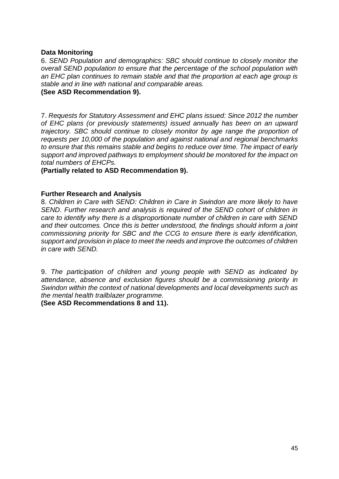#### **Data Monitoring**

6. *SEND Population and demographics: SBC should continue to closely monitor the overall SEND population to ensure that the percentage of the school population with an EHC plan continues to remain stable and that the proportion at each age group is stable and in line with national and comparable areas.* 

#### **(See ASD Recommendation 9).**

7. *Requests for Statutory Assessment and EHC plans issued: Since 2012 the number of EHC plans (or previously statements) issued annually has been on an upward trajectory. SBC should continue to closely monitor by age range the proportion of requests per 10,000 of the population and against national and regional benchmarks to ensure that this remains stable and begins to reduce over time. The impact of early support and improved pathways to employment should be monitored for the impact on total numbers of EHCPs.*

#### **(Partially related to ASD Recommendation 9).**

#### **Further Research and Analysis**

8. *Children in Care with SEND: Children in Care in Swindon are more likely to have SEND. Further research and analysis is required of the SEND cohort of children in care to identify why there is a disproportionate number of children in care with SEND and their outcomes. Once this is better understood, the findings should inform a joint commissioning priority for SBC and the CCG to ensure there is early identification, support and provision in place to meet the needs and improve the outcomes of children in care with SEND.*

9. *The participation of children and young people with SEND as indicated by attendance, absence and exclusion figures should be a commissioning priority in Swindon within the context of national developments and local developments such as the mental health trailblazer programme.*

**(See ASD Recommendations 8 and 11).**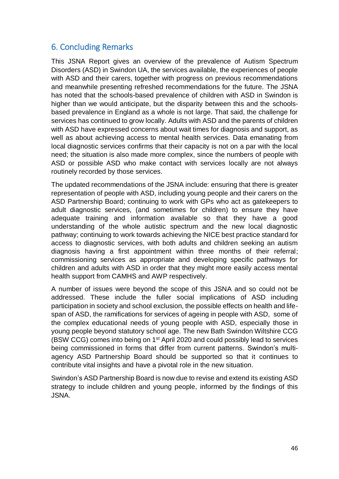### 6. Concluding Remarks

This JSNA Report gives an overview of the prevalence of Autism Spectrum Disorders (ASD) in Swindon UA, the services available, the experiences of people with ASD and their carers, together with progress on previous recommendations and meanwhile presenting refreshed recommendations for the future. The JSNA has noted that the schools-based prevalence of children with ASD in Swindon is higher than we would anticipate, but the disparity between this and the schoolsbased prevalence in England as a whole is not large. That said, the challenge for services has continued to grow locally. Adults with ASD and the parents of children with ASD have expressed concerns about wait times for diagnosis and support, as well as about achieving access to mental health services. Data emanating from local diagnostic services confirms that their capacity is not on a par with the local need; the situation is also made more complex, since the numbers of people with ASD or possible ASD who make contact with services locally are not always routinely recorded by those services.

The updated recommendations of the JSNA include: ensuring that there is greater representation of people with ASD, including young people and their carers on the ASD Partnership Board; continuing to work with GPs who act as gatekeepers to adult diagnostic services, (and sometimes for children) to ensure they have adequate training and information available so that they have a good understanding of the whole autistic spectrum and the new local diagnostic pathway; continuing to work towards achieving the NICE best practice standard for access to diagnostic services, with both adults and children seeking an autism diagnosis having a first appointment within three months of their referral; commissioning services as appropriate and developing specific pathways for children and adults with ASD in order that they might more easily access mental health support from CAMHS and AWP respectively.

A number of issues were beyond the scope of this JSNA and so could not be addressed. These include the fuller social implications of ASD including participation in society and school exclusion, the possible effects on health and lifespan of ASD, the ramifications for services of ageing in people with ASD, some of the complex educational needs of young people with ASD, especially those in young people beyond statutory school age. The new Bath Swindon Wiltshire CCG (BSW CCG) comes into being on 1st April 2020 and could possibly lead to services being commissioned in forms that differ from current patterns. Swindon's multiagency ASD Partnership Board should be supported so that it continues to contribute vital insights and have a pivotal role in the new situation.

Swindon's ASD Partnership Board is now due to revise and extend its existing ASD strategy to include children and young people, informed by the findings of this JSNA.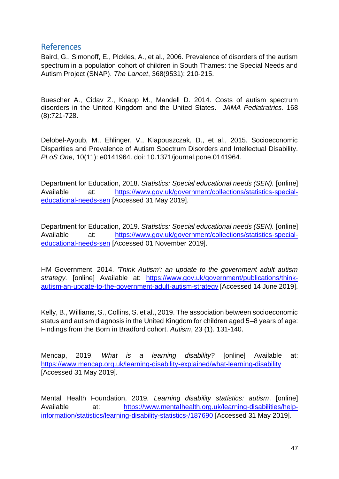#### References

Baird, G., Simonoff, E., Pickles, A., et al., 2006. Prevalence of disorders of the autism spectrum in a population cohort of children in South Thames: the Special Needs and Autism Project (SNAP). *The Lancet*, 368(9531): 210-215.

Buescher A., Cidav Z., Knapp M., Mandell D. 2014. Costs of autism spectrum disorders in the United Kingdom and the United States. *JAMA Pediatratrics.* 168 (8):721-728.

Delobel-Ayoub, M., Ehlinger, V., Klapouszczak, D., et al., 2015. Socioeconomic Disparities and Prevalence of Autism Spectrum Disorders and Intellectual Disability. *PLoS One*, 10(11): e0141964. doi: 10.1371/journal.pone.0141964.

Department for Education, 2018. *Statistics: Special educational needs (SEN).* [online] Available at: [https://www.gov.uk/government/collections/statistics-special](https://www.gov.uk/government/collections/statistics-special-educational-needs-sen)[educational-needs-sen](https://www.gov.uk/government/collections/statistics-special-educational-needs-sen) [Accessed 31 May 2019].

Department for Education, 2019. *Statistics: Special educational needs (SEN).* [online] Available at: [https://www.gov.uk/government/collections/statistics-special](https://www.gov.uk/government/collections/statistics-special-educational-needs-sen)[educational-needs-sen](https://www.gov.uk/government/collections/statistics-special-educational-needs-sen) [Accessed 01 November 2019].

HM Government, 2014. *'Think Autism': an update to the government adult autism strategy.* [online] Available at: [https://www.gov.uk/government/publications/think](https://www.gov.uk/government/publications/think-autism-an-update-to-the-government-adult-autism-strategy)[autism-an-update-to-the-government-adult-autism-strategy](https://www.gov.uk/government/publications/think-autism-an-update-to-the-government-adult-autism-strategy) [Accessed 14 June 2019].

Kelly, B., Williams, S., Collins, S. et al., 2019. The association between socioeconomic status and autism diagnosis in the United Kingdom for children aged 5–8 years of age: Findings from the Born in Bradford cohort. *Autism*, 23 (1). 131-140.

Mencap, 2019. *What is a learning disability?* [online] Available at: <https://www.mencap.org.uk/learning-disability-explained/what-learning-disability> [Accessed 31 May 2019].

Mental Health Foundation, 2019*. Learning disability statistics: autism*. [online] Available at: [https://www.mentalhealth.org.uk/learning-disabilities/help](https://www.mentalhealth.org.uk/learning-disabilities/help-information/statistics/learning-disability-statistics-/187690)[information/statistics/learning-disability-statistics-/187690](https://www.mentalhealth.org.uk/learning-disabilities/help-information/statistics/learning-disability-statistics-/187690) [Accessed 31 May 2019].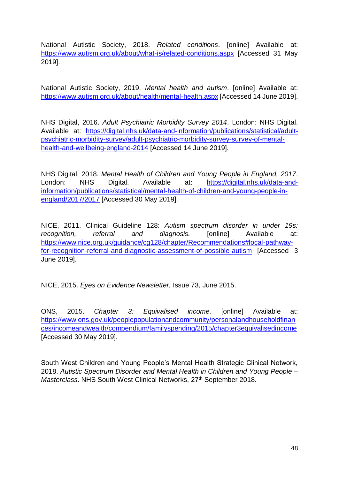National Autistic Society, 2018. *Related conditions*. [online] Available at: <https://www.autism.org.uk/about/what-is/related-conditions.aspx> [Accessed 31 May 2019].

National Autistic Society, 2019. *Mental health and autism*. [online] Available at: <https://www.autism.org.uk/about/health/mental-health.aspx> [Accessed 14 June 2019].

NHS Digital, 2016. *Adult Psychiatric Morbidity Survey 2014*. London: NHS Digital. Available at: [https://digital.nhs.uk/data-and-information/publications/statistical/adult](https://digital.nhs.uk/data-and-information/publications/statistical/adult-psychiatric-morbidity-survey/adult-psychiatric-morbidity-survey-survey-of-mental-health-and-wellbeing-england-2014)[psychiatric-morbidity-survey/adult-psychiatric-morbidity-survey-survey-of-mental](https://digital.nhs.uk/data-and-information/publications/statistical/adult-psychiatric-morbidity-survey/adult-psychiatric-morbidity-survey-survey-of-mental-health-and-wellbeing-england-2014)[health-and-wellbeing-england-2014](https://digital.nhs.uk/data-and-information/publications/statistical/adult-psychiatric-morbidity-survey/adult-psychiatric-morbidity-survey-survey-of-mental-health-and-wellbeing-england-2014) [Accessed 14 June 2019].

NHS Digital, 2018*. Mental Health of Children and Young People in England, 2017*. London: NHS Digital. Available at: [https://digital.nhs.uk/data-and](https://digital.nhs.uk/data-and-information/publications/statistical/mental-health-of-children-and-young-people-in-england/2017/2017)[information/publications/statistical/mental-health-of-children-and-young-people-in](https://digital.nhs.uk/data-and-information/publications/statistical/mental-health-of-children-and-young-people-in-england/2017/2017)[england/2017/2017](https://digital.nhs.uk/data-and-information/publications/statistical/mental-health-of-children-and-young-people-in-england/2017/2017) [Accessed 30 May 2019].

NICE, 2011. Clinical Guideline 128: *Autism spectrum disorder in under 19s: recognition, referral and diagnosis.* [online] Available at: [https://www.nice.org.uk/guidance/cg128/chapter/Recommendations#local-pathway](https://www.nice.org.uk/guidance/cg128/chapter/Recommendations#local-pathway-for-recognition-referral-and-diagnostic-assessment-of-possible-autism)[for-recognition-referral-and-diagnostic-assessment-of-possible-autism](https://www.nice.org.uk/guidance/cg128/chapter/Recommendations#local-pathway-for-recognition-referral-and-diagnostic-assessment-of-possible-autism) [Accessed 3 June 2019].

NICE, 2015. *Eyes on Evidence Newsletter,* Issue 73, June 2015.

ONS, 2015. *Chapter 3: Equivalised income*. [online] Available at: [https://www.ons.gov.uk/peoplepopulationandcommunity/personalandhouseholdfinan](https://www.ons.gov.uk/peoplepopulationandcommunity/personalandhouseholdfinances/incomeandwealth/compendium/familyspending/2015/chapter3equivalisedincome) [ces/incomeandwealth/compendium/familyspending/2015/chapter3equivalisedincome](https://www.ons.gov.uk/peoplepopulationandcommunity/personalandhouseholdfinances/incomeandwealth/compendium/familyspending/2015/chapter3equivalisedincome) [Accessed 30 May 2019].

South West Children and Young People's Mental Health Strategic Clinical Network, 2018. *Autistic Spectrum Disorder and Mental Health in Children and Young People – Masterclass.* NHS South West Clinical Networks, 27<sup>th</sup> September 2018.